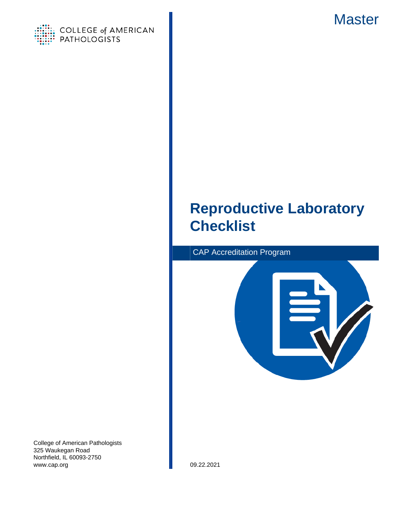



# **Reproductive Laboratory Checklist**



College of American Pathologists 325 Waukegan Road Northfield, IL 60093-2750 www.cap.org 09.22.2021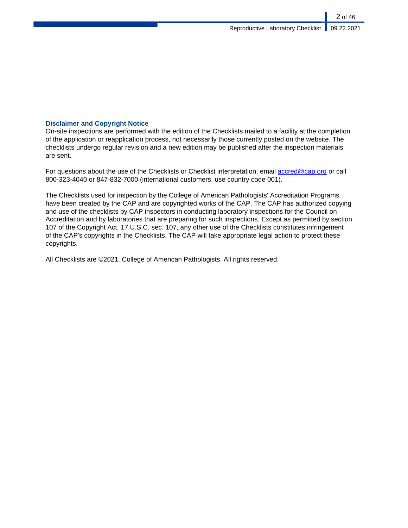### **Disclaimer and Copyright Notice**

On-site inspections are performed with the edition of the Checklists mailed to a facility at the completion of the application or reapplication process, not necessarily those currently posted on the website. The checklists undergo regular revision and a new edition may be published after the inspection materials are sent.

For questions about the use of the Checklists or Checklist interpretation, email [accred@cap.org](mailto:accred@cap.org) or call 800-323-4040 or 847-832-7000 (international customers, use country code 001).

The Checklists used for inspection by the College of American Pathologists' Accreditation Programs have been created by the CAP and are copyrighted works of the CAP. The CAP has authorized copying and use of the checklists by CAP inspectors in conducting laboratory inspections for the Council on Accreditation and by laboratories that are preparing for such inspections. Except as permitted by section 107 of the Copyright Act, 17 U.S.C. sec. 107, any other use of the Checklists constitutes infringement of the CAP's copyrights in the Checklists. The CAP will take appropriate legal action to protect these copyrights.

All Checklists are ©2021. College of American Pathologists. All rights reserved.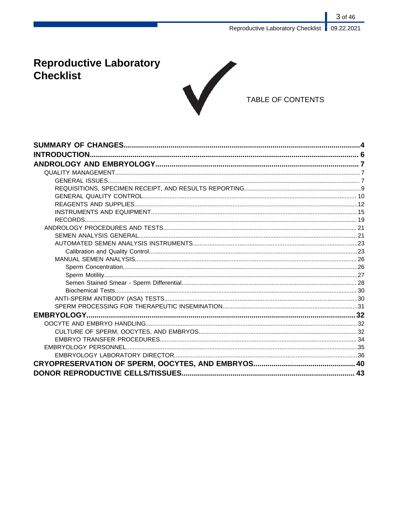# **Reproductive Laboratory Checklist**



## TABLE OF CONTENTS

| <b>INTRODUCTION.</b> |  |
|----------------------|--|
|                      |  |
|                      |  |
|                      |  |
|                      |  |
|                      |  |
|                      |  |
|                      |  |
|                      |  |
|                      |  |
|                      |  |
|                      |  |
|                      |  |
|                      |  |
|                      |  |
|                      |  |
|                      |  |
|                      |  |
|                      |  |
|                      |  |
|                      |  |
|                      |  |
|                      |  |
|                      |  |
|                      |  |
|                      |  |
|                      |  |
|                      |  |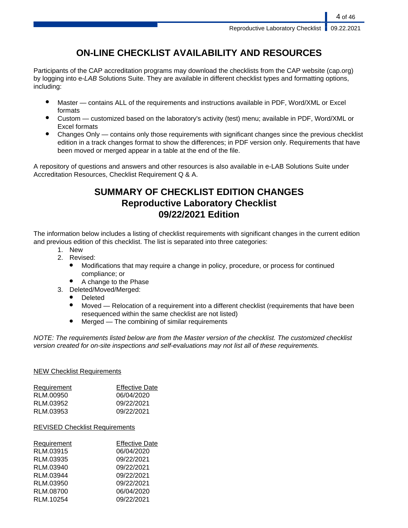## **ON-LINE CHECKLIST AVAILABILITY AND RESOURCES**

Participants of the CAP accreditation programs may download the checklists from the CAP website (cap.org) by logging into e-LAB Solutions Suite. They are available in different checklist types and formatting options, including:

- Master contains ALL of the requirements and instructions available in PDF, Word/XML or Excel formats
- Custom customized based on the laboratory's activity (test) menu; available in PDF, Word/XML or Excel formats
- Changes Only contains only those requirements with significant changes since the previous checklist edition in a track changes format to show the differences; in PDF version only. Requirements that have been moved or merged appear in a table at the end of the file.

A repository of questions and answers and other resources is also available in e-LAB Solutions Suite under Accreditation Resources, Checklist Requirement Q & A.

## **SUMMARY OF CHECKLIST EDITION CHANGES Reproductive Laboratory Checklist 09/22/2021 Edition**

The information below includes a listing of checklist requirements with significant changes in the current edition and previous edition of this checklist. The list is separated into three categories:

- 1. New
- 2. Revised:
	- Modifications that may require a change in policy, procedure, or process for continued compliance; or
	- A change to the Phase
- 3. Deleted/Moved/Merged:
	- **Deleted**
	- Moved Relocation of a requirement into a different checklist (requirements that have been resequenced within the same checklist are not listed)
	- $Mered$  The combining of similar requirements

NOTE: The requirements listed below are from the Master version of the checklist. The customized checklist version created for on-site inspections and self-evaluations may not list all of these requirements.

### NEW Checklist Requirements

| Requirement | <b>Effective Date</b> |
|-------------|-----------------------|
| RLM.00950   | 06/04/2020            |
| RLM.03952   | 09/22/2021            |
| RLM.03953   | 09/22/2021            |
|             |                       |

### REVISED Checklist Requirements

| Requirement | <b>Effective Date</b> |
|-------------|-----------------------|
| RLM.03915   | 06/04/2020            |
| RLM.03935   | 09/22/2021            |
| RLM.03940   | 09/22/2021            |
| RLM.03944   | 09/22/2021            |
| RLM.03950   | 09/22/2021            |
| RLM.08700   | 06/04/2020            |
| RLM.10254   | 09/22/2021            |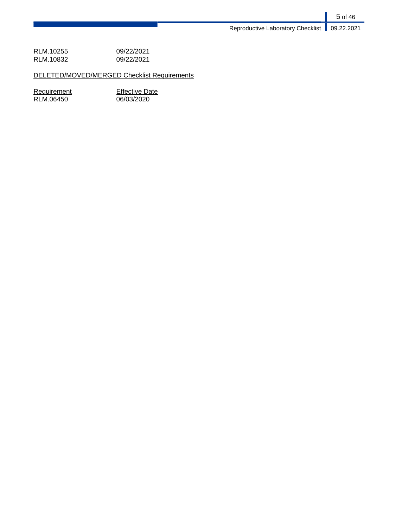RLM.10255 09/22/2021<br>RLM.10832 09/22/2021 RLM.10832

DELETED/MOVED/MERGED Checklist Requirements

 $RLM.06450$ 

Requirement<br>
RLM.06450 66/03/2020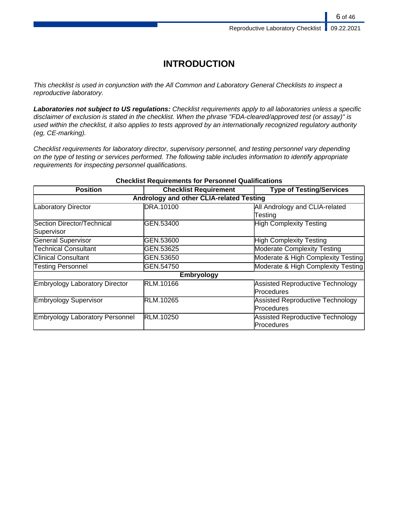## **INTRODUCTION**

This checklist is used in conjunction with the All Common and Laboratory General Checklists to inspect a reproductive laboratory.

**Laboratories not subject to US regulations:** Checklist requirements apply to all laboratories unless a specific disclaimer of exclusion is stated in the checklist. When the phrase "FDA-cleared/approved test (or assay)" is used within the checklist, it also applies to tests approved by an internationally recognized regulatory authority (eg, CE-marking).

Checklist requirements for laboratory director, supervisory personnel, and testing personnel vary depending on the type of testing or services performed. The following table includes information to identify appropriate requirements for inspecting personnel qualifications.

| <b>Position</b>                        | <b>Checklist Requirement</b>             | <b>Type of Testing/Services</b>         |
|----------------------------------------|------------------------------------------|-----------------------------------------|
|                                        | Andrology and other CLIA-related Testing |                                         |
| Laboratory Director                    | DRA.10100                                | All Andrology and CLIA-related          |
|                                        |                                          | Testing                                 |
| Section Director/Technical             | GEN.53400                                | High Complexity Testing                 |
| Supervisor                             |                                          |                                         |
| General Supervisor                     | GEN.53600                                | High Complexity Testing                 |
| <b>Technical Consultant</b>            | GEN.53625                                | <b>Moderate Complexity Testing</b>      |
| <b>Clinical Consultant</b>             | GEN.53650                                | Moderate & High Complexity Testing      |
| <b>Testing Personnel</b>               | GEN.54750                                | Moderate & High Complexity Testing      |
|                                        | <b>Embryology</b>                        |                                         |
| Embryology Laboratory Director         | RLM.10166                                | Assisted Reproductive Technology        |
|                                        |                                          | <b>Procedures</b>                       |
| Embryology Supervisor                  | RLM.10265                                | Assisted Reproductive Technology        |
|                                        |                                          | Procedures                              |
| <b>Embryology Laboratory Personnel</b> | RLM.10250                                | <b>Assisted Reproductive Technology</b> |
|                                        |                                          | <b>Procedures</b>                       |

### **Checklist Requirements for Personnel Qualifications**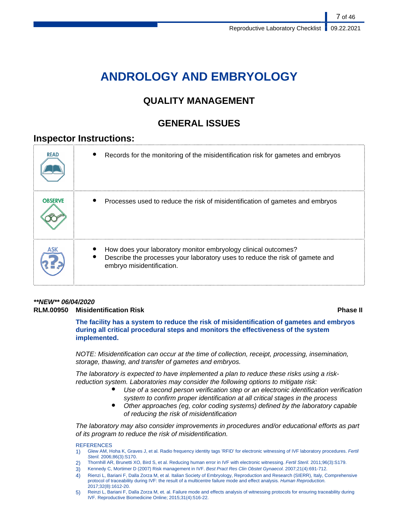# **ANDROLOGY AND EMBRYOLOGY**

## **QUALITY MANAGEMENT**

## **GENERAL ISSUES**

## **Inspector Instructions:**

| <b>READ</b>    | Records for the monitoring of the misidentification risk for gametes and embryos                                                                                            |
|----------------|-----------------------------------------------------------------------------------------------------------------------------------------------------------------------------|
| <b>OBSERVE</b> | Processes used to reduce the risk of misidentification of gametes and embryos                                                                                               |
|                | How does your laboratory monitor embryology clinical outcomes?<br>Describe the processes your laboratory uses to reduce the risk of gamete and<br>embryo misidentification. |

### **\*\*NEW\*\* 06/04/2020 RLM.00950 Misidentification Risk Phase II**

**The facility has a system to reduce the risk of misidentification of gametes and embryos during all critical procedural steps and monitors the effectiveness of the system implemented.**

NOTE: Misidentification can occur at the time of collection, receipt, processing, insemination, storage, thawing, and transfer of gametes and embryos.

The laboratory is expected to have implemented a plan to reduce these risks using a riskreduction system. Laboratories may consider the following options to mitigate risk:

- Use of a second person verification step or an electronic identification verification system to confirm proper identification at all critical stages in the process
- Other approaches (eg, color coding systems) defined by the laboratory capable of reducing the risk of misidentification

The laboratory may also consider improvements in procedures and/or educational efforts as part of its program to reduce the risk of misidentification.

### **REFERENCES**

- 1) Glew AM, Hoha K, Graves J, et al. Radio frequency identity tags 'RFID' for electronic witnessing of IVF laboratory procedures. Fertil Steril. 2006;86(3):S170.
- 2) Thornhill AR, Brunetti XO, Bird S, et al. Reducing human error in IVF with electronic witnessing. Fertil Steril. 2011;96(3):S179.
- 3) Kennedy C, Mortimer D (2007) Risk management in IVF. Best Pract Res Clin Obstet Gynaecol. 2007;21(4):691-712.
- 4) Rienzi L, Bariani F, Dalla Zorza M, et al. Italian Society of Embryology, Reproduction and Research (SIERR), Italy, Comprehensive protocol of traceability during IVF: the result of a multicentre failure mode and effect analysis. Human Reproduction. 2017;32(8):1612-20.
- 5) Reinzi L, Bariani F, Dalla Zorza M, et. al. Failure mode and effects analysis of witnessing protocols for ensuring traceability during IVF. Reproductive Biomedicine Online; 2015;31(4):516-22.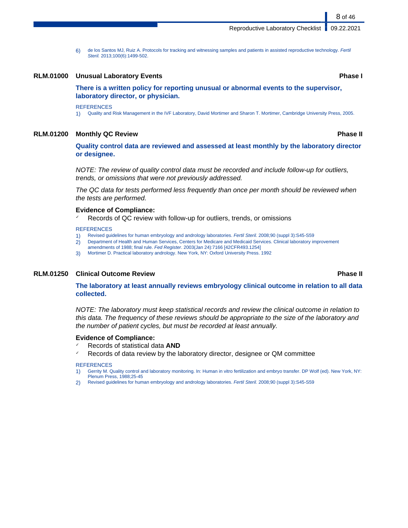6) de los Santos MJ, Ruiz A. Protocols for tracking and witnessing samples and patients in assisted reproductive technology. Fertil Steril. 2013;100(6):1499-502.

### **RLM.01000 Unusual Laboratory Events Phase I**

**There is a written policy for reporting unusual or abnormal events to the supervisor, laboratory director, or physician.**

### **REFERENCES**

1) Quality and Risk Management in the IVF Laboratory, David Mortimer and Sharon T. Mortimer, Cambridge University Press, 2005.

### **RLM.01200 Monthly QC Review Phase II**

**Quality control data are reviewed and assessed at least monthly by the laboratory director or designee.**

NOTE: The review of quality control data must be recorded and include follow-up for outliers, trends, or omissions that were not previously addressed.

The QC data for tests performed less frequently than once per month should be reviewed when the tests are performed.

### **Evidence of Compliance:**

Records of QC review with follow-up for outliers, trends, or omissions

### **REFERENCES**

- 1) Revised guidelines for human embryology and andrology laboratories. Fertil Steril. 2008;90 (suppl 3):S45-S59
- 2) Department of Health and Human Services, Centers for Medicare and Medicaid Services. Clinical laboratory improvement
- amendments of 1988; final rule. Fed Register. 2003(Jan 24):7166 [42CFR493.1254] 3) Mortimer D. Practical laboratory andrology. New York, NY: Oxford University Press. 1992

### **RLM.01250 Clinical Outcome Review Phase II**

**The laboratory at least annually reviews embryology clinical outcome in relation to all data collected.**

NOTE: The laboratory must keep statistical records and review the clinical outcome in relation to this data. The frequency of these reviews should be appropriate to the size of the laboratory and the number of patient cycles, but must be recorded at least annually.

### **Evidence of Compliance:**

- ✓ Records of statistical data **AND**
- Records of data review by the laboratory director, designee or QM committee

### **REFERENCES**

- 1) Gerrity M. Quality control and laboratory monitoring. In: Human in vitro fertilization and embryo transfer. DP Wolf (ed). New York, NY: Plenum Press, 1988;25-45
- 2) Revised guidelines for human embryology and andrology laboratories. Fertil Steril. 2008;90 (suppl 3):S45-S59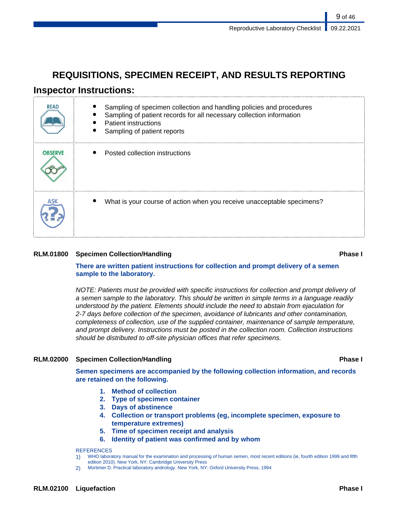## **REQUISITIONS, SPECIMEN RECEIPT, AND RESULTS REPORTING**

## **Inspector Instructions:**

| <b>READ</b>    | Sampling of specimen collection and handling policies and procedures<br>Sampling of patient records for all necessary collection information<br><b>Patient instructions</b><br>Sampling of patient reports |
|----------------|------------------------------------------------------------------------------------------------------------------------------------------------------------------------------------------------------------|
| <b>OBSERVE</b> | Posted collection instructions                                                                                                                                                                             |
|                | What is your course of action when you receive unacceptable specimens?                                                                                                                                     |

### **RLM.01800 Specimen Collection/Handling Phase I**

### **There are written patient instructions for collection and prompt delivery of a semen sample to the laboratory.**

NOTE: Patients must be provided with specific instructions for collection and prompt delivery of a semen sample to the laboratory. This should be written in simple terms in a language readily understood by the patient. Elements should include the need to abstain from ejaculation for 2-7 days before collection of the specimen, avoidance of lubricants and other contamination, completeness of collection, use of the supplied container, maintenance of sample temperature, and prompt delivery. Instructions must be posted in the collection room. Collection instructions should be distributed to off-site physician offices that refer specimens.

### **RLM.02000 Specimen Collection/Handling Phase I**

**Semen specimens are accompanied by the following collection information, and records are retained on the following.**

- **1. Method of collection**
- **2. Type of specimen container**
- **3. Days of abstinence**
- **4. Collection or transport problems (eg, incomplete specimen, exposure to temperature extremes)**
- **5. Time of specimen receipt and analysis**
- **6. Identity of patient was confirmed and by whom**

### **REFERENCES**

1) WHO laboratory manual for the examination and processing of human semen, most recent editions (ie, fourth edition 1999 and fifth edition 2010). New York, NY: Cambridge University Press

2) Mortimer D. Practical laboratory andrology. New York, NY: Oxford University Press, 1994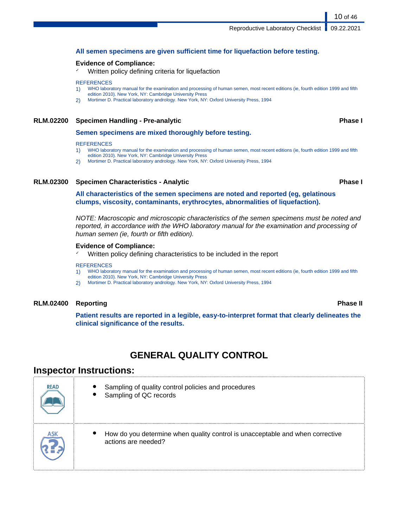### **All semen specimens are given sufficient time for liquefaction before testing.**

### **Evidence of Compliance:**

Written policy defining criteria for liquefaction

### **REFERENCES**

- 1) WHO laboratory manual for the examination and processing of human semen, most recent editions (ie, fourth edition 1999 and fifth edition 2010). New York, NY: Cambridge University Press
- 2) Mortimer D. Practical laboratory andrology. New York, NY: Oxford University Press, 1994

### **RLM.02200 Specimen Handling - Pre-analytic Phase I**

### **Semen specimens are mixed thoroughly before testing.**

### **REFERENCES**

- 1) WHO laboratory manual for the examination and processing of human semen, most recent editions (ie, fourth edition 1999 and fifth
- edition 2010). New York, NY: Cambridge University Press
- 2) Mortimer D. Practical laboratory andrology. New York, NY: Oxford University Press, 1994

### **RLM.02300 Specimen Characteristics - Analytic Phase I**

**All characteristics of the semen specimens are noted and reported (eg, gelatinous clumps, viscosity, contaminants, erythrocytes, abnormalities of liquefaction).**

NOTE: Macroscopic and microscopic characteristics of the semen specimens must be noted and reported, in accordance with the WHO laboratory manual for the examination and processing of human semen (ie, fourth or fifth edition).

### **Evidence of Compliance:**

Written policy defining characteristics to be included in the report

### **REFERENCES**

- 1) WHO laboratory manual for the examination and processing of human semen, most recent editions (ie, fourth edition 1999 and fifth edition 2010). New York, NY: Cambridge University Press
- 2) Mortimer D. Practical laboratory andrology. New York, NY: Oxford University Press, 1994

### **RLM.02400 Reporting Phase II**

**Patient results are reported in a legible, easy-to-interpret format that clearly delineates the clinical significance of the results.**

## **GENERAL QUALITY CONTROL**

## **Inspector Instructions:**

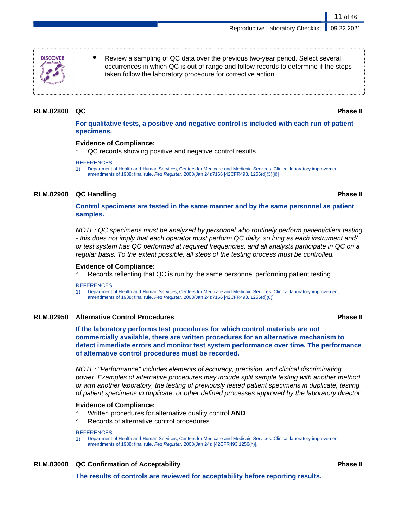**DISCOVER** 

Review a sampling of QC data over the previous two-year period. Select several occurrences in which QC is out of range and follow records to determine if the steps taken follow the laboratory procedure for corrective action

### **RLM.02800 QC Phase II**

11 of 46

**For qualitative tests, a positive and negative control is included with each run of patient specimens.**

### **Evidence of Compliance:**

QC records showing positive and negative control results

### **REFERENCES**

1) Department of Health and Human Services, Centers for Medicare and Medicaid Services. Clinical laboratory improvement amendments of 1988; final rule. Fed Register. 2003(Jan 24):7166 [42CFR493. 1256(d)(3)(ii)]

### **RLM.02900 QC Handling Phase II**

### **Control specimens are tested in the same manner and by the same personnel as patient samples.**

NOTE: QC specimens must be analyzed by personnel who routinely perform patient/client testing - this does not imply that each operator must perform QC daily, so long as each instrument and/ or test system has QC performed at required frequencies, and all analysts participate in QC on a regular basis. To the extent possible, all steps of the testing process must be controlled.

### **Evidence of Compliance:**

Records reflecting that QC is run by the same personnel performing patient testing

**REFERENCES** 

1) Department of Health and Human Services, Centers for Medicare and Medicaid Services. Clinical laboratory improvement amendments of 1988; final rule. Fed Register. 2003(Jan 24):7166 [42CFR493. 1256(d)(8)]

### **RLM.02950 Alternative Control Procedures Phase II**

**If the laboratory performs test procedures for which control materials are not commercially available, there are written procedures for an alternative mechanism to detect immediate errors and monitor test system performance over time. The performance of alternative control procedures must be recorded.**

NOTE: "Performance" includes elements of accuracy, precision, and clinical discriminating power. Examples of alternative procedures may include split sample testing with another method or with another laboratory, the testing of previously tested patient specimens in duplicate, testing of patient specimens in duplicate, or other defined processes approved by the laboratory director.

### **Evidence of Compliance:**

- Written procedures for alternative quality control **AND**
- Records of alternative control procedures

### **REFERENCES**

1) Department of Health and Human Services, Centers for Medicare and Medicaid Services. Clinical laboratory improvement amendments of 1988; final rule. Fed Register. 2003(Jan 24): [42CFR493.1256(h)].

### **RLM.03000 QC Confirmation of Acceptability Phase II**

**The results of controls are reviewed for acceptability before reporting results.**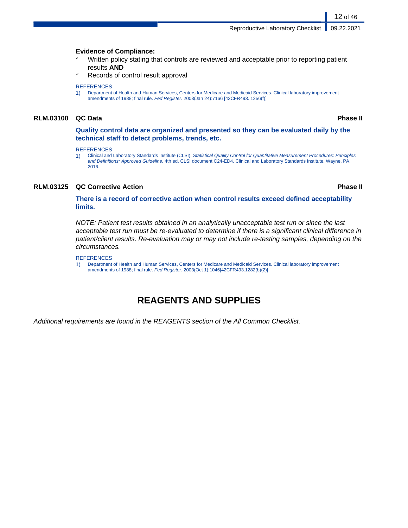Reproductive Laboratory Checklist | 09.22.2021

### **Evidence of Compliance:**

- Written policy stating that controls are reviewed and acceptable prior to reporting patient results **AND**
- Records of control result approval

### **REFERENCES**

1) Department of Health and Human Services, Centers for Medicare and Medicaid Services. Clinical laboratory improvement amendments of 1988; final rule. Fed Register. 2003(Jan 24):7166 [42CFR493. 1256(f)]

### **RLM.03100 QC Data Phase II**

12 of 46

**Quality control data are organized and presented so they can be evaluated daily by the technical staff to detect problems, trends, etc.**

**REFERENCES** 

1) Clinical and Laboratory Standards Institute (CLSI). Statistical Quality Control for Quantitative Measurement Procedures: Principles and Definitions; Approved Guideline. 4th ed. CLSI document C24-ED4. Clinical and Laboratory Standards Institute, Wayne, PA, 2016.

### **RLM.03125 QC Corrective Action Phase II**

**There is a record of corrective action when control results exceed defined acceptability limits.**

NOTE: Patient test results obtained in an analytically unacceptable test run or since the last acceptable test run must be re-evaluated to determine if there is a significant clinical difference in patient/client results. Re-evaluation may or may not include re-testing samples, depending on the circumstances.

### **REFERENCES**

1) Department of Health and Human Services, Centers for Medicare and Medicaid Services. Clinical laboratory improvement amendments of 1988; final rule. Fed Register. 2003(Oct 1):1046[42CFR493.1282(b)(2)]

## **REAGENTS AND SUPPLIES**

Additional requirements are found in the REAGENTS section of the All Common Checklist.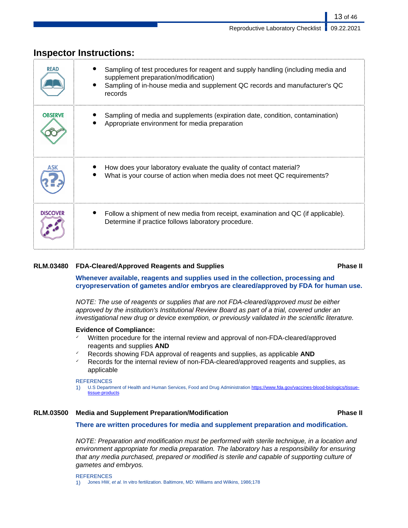| <b>READ</b>     | Sampling of test procedures for reagent and supply handling (including media and<br>supplement preparation/modification)<br>Sampling of in-house media and supplement QC records and manufacturer's QC<br>records |
|-----------------|-------------------------------------------------------------------------------------------------------------------------------------------------------------------------------------------------------------------|
| <b>OBSERVE</b>  | Sampling of media and supplements (expiration date, condition, contamination)<br>Appropriate environment for media preparation                                                                                    |
|                 | How does your laboratory evaluate the quality of contact material?<br>What is your course of action when media does not meet QC requirements?                                                                     |
| <b>DISCOVER</b> | Follow a shipment of new media from receipt, examination and QC (if applicable).<br>Determine if practice follows laboratory procedure.                                                                           |

## **Inspector Instructions:**

### **RLM.03480 FDA-Cleared/Approved Reagents and Supplies Phase II**

**Whenever available, reagents and supplies used in the collection, processing and cryopreservation of gametes and/or embryos are cleared/approved by FDA for human use.**

NOTE: The use of reagents or supplies that are not FDA-cleared/approved must be either approved by the institution's Institutional Review Board as part of a trial, covered under an investigational new drug or device exemption, or previously validated in the scientific literature.

### **Evidence of Compliance:**

- Written procedure for the internal review and approval of non-FDA-cleared/approved reagents and supplies **AND**
- ✓ Records showing FDA approval of reagents and supplies, as applicable **AND**
- $\checkmark$  Records for the internal review of non-FDA-cleared/approved reagents and supplies, as applicable

### **REFERENCES**

1) U.S Department of Health and Human Services, Food and Drug Administration [https://www.fda.gov/vaccines-blood-biologics/tissue](https://www.fda.gov/vaccines-blood-biologics/tissue-tissue-products)[tissue-products](https://www.fda.gov/vaccines-blood-biologics/tissue-tissue-products)

### **RLM.03500 Media and Supplement Preparation/Modification Phase II**

### **There are written procedures for media and supplement preparation and modification.**

NOTE: Preparation and modification must be performed with sterile technique, in a location and environment appropriate for media preparation. The laboratory has a responsibility for ensuring that any media purchased, prepared or modified is sterile and capable of supporting culture of gametes and embryos.

**REFERENCES** 1) Jones HW, et al. In vitro fertilization. Baltimore, MD: Williams and Wilkins, 1986;178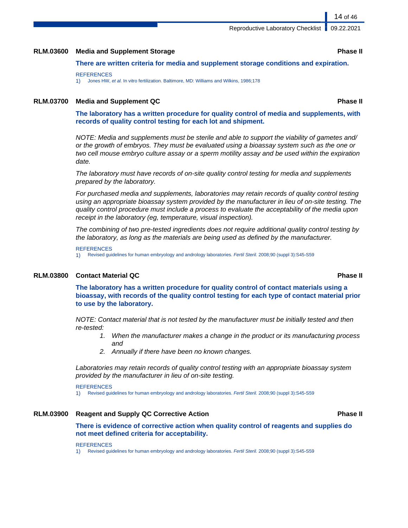### **RLM.03600 Media and Supplement Storage Phase II**

**There are written criteria for media and supplement storage conditions and expiration.**

### **REFERENCES**

1) Jones HW, et al. In vitro fertilization. Baltimore, MD: Williams and Wilkins, 1986;178

### **RLM.03700 Media and Supplement QC Phase II**

**The laboratory has a written procedure for quality control of media and supplements, with records of quality control testing for each lot and shipment.**

NOTE: Media and supplements must be sterile and able to support the viability of gametes and/ or the growth of embryos. They must be evaluated using a bioassay system such as the one or two cell mouse embryo culture assay or a sperm motility assay and be used within the expiration date.

The laboratory must have records of on-site quality control testing for media and supplements prepared by the laboratory.

For purchased media and supplements, laboratories may retain records of quality control testing using an appropriate bioassay system provided by the manufacturer in lieu of on-site testing. The quality control procedure must include a process to evaluate the acceptability of the media upon receipt in the laboratory (eg, temperature, visual inspection).

The combining of two pre-tested ingredients does not require additional quality control testing by the laboratory, as long as the materials are being used as defined by the manufacturer.

### **REFERENCES**

1) Revised guidelines for human embryology and andrology laboratories. Fertil Steril. 2008;90 (suppl 3):S45-S59

### **RLM.03800 Contact Material QC Phase II**

**The laboratory has a written procedure for quality control of contact materials using a bioassay, with records of the quality control testing for each type of contact material prior to use by the laboratory.**

NOTE: Contact material that is not tested by the manufacturer must be initially tested and then re-tested:

- 1. When the manufacturer makes a change in the product or its manufacturing process and
- 2. Annually if there have been no known changes.

Laboratories may retain records of quality control testing with an appropriate bioassay system provided by the manufacturer in lieu of on-site testing.

REFERENCES 1) Revised guidelines for human embryology and andrology laboratories. Fertil Steril. 2008;90 (suppl 3):S45-S59

### **RLM.03900 Reagent and Supply QC Corrective Action Phase II**

### **There is evidence of corrective action when quality control of reagents and supplies do not meet defined criteria for acceptability.**

### **REFERENCES**

1) Revised guidelines for human embryology and andrology laboratories. Fertil Steril. 2008;90 (suppl 3):S45-S59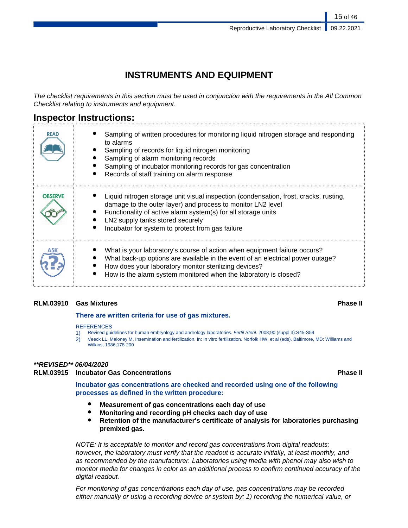## **INSTRUMENTS AND EQUIPMENT**

The checklist requirements in this section must be used in conjunction with the requirements in the All Common Checklist relating to instruments and equipment.

## **Inspector Instructions:**

| <b>READ</b>    | Sampling of written procedures for monitoring liquid nitrogen storage and responding<br>to alarms<br>Sampling of records for liquid nitrogen monitoring<br>Sampling of alarm monitoring records<br>Sampling of incubator monitoring records for gas concentration<br>Records of staff training on alarm response |
|----------------|------------------------------------------------------------------------------------------------------------------------------------------------------------------------------------------------------------------------------------------------------------------------------------------------------------------|
| <b>OBSERVE</b> | Liquid nitrogen storage unit visual inspection (condensation, frost, cracks, rusting,<br>damage to the outer layer) and process to monitor LN2 level<br>Functionality of active alarm system(s) for all storage units<br>LN2 supply tanks stored securely<br>Incubator for system to protect from gas failure    |
|                | What is your laboratory's course of action when equipment failure occurs?<br>What back-up options are available in the event of an electrical power outage?<br>How does your laboratory monitor sterilizing devices?<br>How is the alarm system monitored when the laboratory is closed?                         |

### **RLM.03910 Gas Mixtures Phase II**

### **There are written criteria for use of gas mixtures.**

### **REFERENCES**

- 1) Revised guidelines for human embryology and andrology laboratories. Fertil Steril. 2008;90 (suppl 3):S45-S59
- 2) Veeck LL, Maloney M. Insemination and fertilization. In: In vitro fertilization. Norfolk HW, et al (eds). Baltimore, MD: Williams and Wilkins, 1986;178-200

### **\*\*REVISED\*\* 06/04/2020**

### **RLM.03915 Incubator Gas Concentrations Phase II**

**Incubator gas concentrations are checked and recorded using one of the following processes as defined in the written procedure:**

- **Measurement of gas concentrations each day of use**
- **Monitoring and recording pH checks each day of use**
- **Retention of the manufacturer's certificate of analysis for laboratories purchasing premixed gas.**

NOTE: It is acceptable to monitor and record gas concentrations from digital readouts; however, the laboratory must verify that the readout is accurate initially, at least monthly, and as recommended by the manufacturer. Laboratories using media with phenol may also wish to monitor media for changes in color as an additional process to confirm continued accuracy of the digital readout.

For monitoring of gas concentrations each day of use, gas concentrations may be recorded either manually or using a recording device or system by: 1) recording the numerical value, or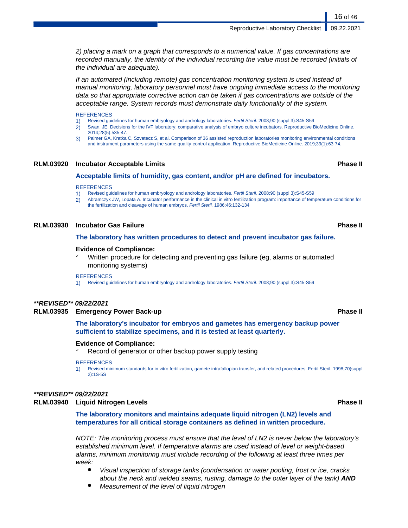2) placing a mark on a graph that corresponds to a numerical value. If gas concentrations are recorded manually, the identity of the individual recording the value must be recorded (initials of the individual are adequate).

If an automated (including remote) gas concentration monitoring system is used instead of manual monitoring, laboratory personnel must have ongoing immediate access to the monitoring data so that appropriate corrective action can be taken if gas concentrations are outside of the acceptable range. System records must demonstrate daily functionality of the system.

### **REFERENCES**

- 1) Revised guidelines for human embryology and andrology laboratories. Fertil Steril. 2008;90 (suppl 3):S45-S59
- 2) Swan, JE. Decisions for the IVF laboratory: comparative analysis of embryo culture incubators. Reproductive BioMedicine Online. 2014;28(5):535-47.
- 3) Palmer GA, Kratka C, Szvetecz S, et al. Comparison of 36 assisted reproduction laboratories monitoring environmental conditions and instrument parameters using the same quality-control application. Reproductive BioMedicine Online. 2019;39(1):63-74.

### **RLM.03920 Incubator Acceptable Limits Phase II**

### **Acceptable limits of humidity, gas content, and/or pH are defined for incubators.**

### **REFERENCES**

1) Revised guidelines for human embryology and andrology laboratories. Fertil Steril. 2008;90 (suppl 3):S45-S59

2) Abramczyk JW, Lopata A. Incubator performance in the clinical in vitro fertilization program: importance of temperature conditions for the fertilization and cleavage of human embryos. Fertil Steril. 1986;46:132-134

### **RLM.03930 Incubator Gas Failure Phase II**

### **The laboratory has written procedures to detect and prevent incubator gas failure.**

### **Evidence of Compliance:**

Written procedure for detecting and preventing gas failure (eg, alarms or automated monitoring systems)

### **REFERENCES**

Revised guidelines for human embryology and andrology laboratories. Fertil Steril. 2008;90 (suppl 3):S45-S59

### **\*\*REVISED\*\* 09/22/2021**

### **RLM.03935 Emergency Power Back-up Phase II**

**The laboratory's incubator for embryos and gametes has emergency backup power sufficient to stabilize specimens, and it is tested at least quarterly.**

### **Evidence of Compliance:**

Record of generator or other backup power supply testing

### **REFERENCES**

1) Revised minimum standards for in vitro fertilization, gamete intrafallopian transfer, and related procedures. Fertil Steril. 1998;70(suppl 2):1S-5S

### **\*\*REVISED\*\* 09/22/2021**

### **RLM.03940 Liquid Nitrogen Levels Phase II**

**The laboratory monitors and maintains adequate liquid nitrogen (LN2) levels and temperatures for all critical storage containers as defined in written procedure.**

NOTE: The monitoring process must ensure that the level of LN2 is never below the laboratory's established minimum level. If temperature alarms are used instead of level or weight-based alarms, minimum monitoring must include recording of the following at least three times per week:

- Visual inspection of storage tanks (condensation or water pooling, frost or ice, cracks about the neck and welded seams, rusting, damage to the outer layer of the tank) **AND**
- Measurement of the level of liquid nitrogen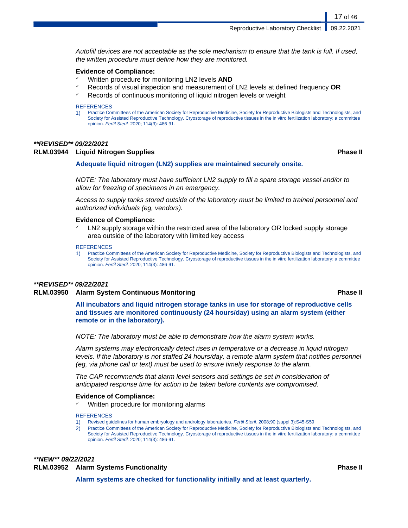Autofill devices are not acceptable as the sole mechanism to ensure that the tank is full. If used, the written procedure must define how they are monitored.

### **Evidence of Compliance:**

- ✓ Written procedure for monitoring LN2 levels **AND**
- ✓ Records of visual inspection and measurement of LN2 levels at defined frequency **OR**
- Records of continuous monitoring of liquid nitrogen levels or weight

### **REFERENCES**

1) Practice Committees of the American Society for Reproductive Medicine, Society for Reproductive Biologists and Technologists, and Society for Assisted Reproductive Technology. Cryostorage of reproductive tissues in the in vitro fertilization laboratory: a committee opinion. Fertil Steril. 2020; 114(3): 486-91.

### **\*\*REVISED\*\* 09/22/2021**

### **RLM.03944 Liquid Nitrogen Supplies Phase II**

## **Adequate liquid nitrogen (LN2) supplies are maintained securely onsite.**

NOTE: The laboratory must have sufficient LN2 supply to fill a spare storage vessel and/or to allow for freezing of specimens in an emergency.

Access to supply tanks stored outside of the laboratory must be limited to trained personnel and authorized individuals (eg, vendors).

### **Evidence of Compliance:**

LN2 supply storage within the restricted area of the laboratory OR locked supply storage area outside of the laboratory with limited key access

### **REFERENCES**

1) Practice Committees of the American Society for Reproductive Medicine, Society for Reproductive Biologists and Technologists, and Society for Assisted Reproductive Technology. Cryostorage of reproductive tissues in the in vitro fertilization laboratory: a committee opinion. Fertil Steril. 2020; 114(3): 486-91.

### **\*\*REVISED\*\* 09/22/2021**

### **RLM.03950 Alarm System Continuous Monitoring Phase II**

**All incubators and liquid nitrogen storage tanks in use for storage of reproductive cells and tissues are monitored continuously (24 hours/day) using an alarm system (either remote or in the laboratory).**

NOTE: The laboratory must be able to demonstrate how the alarm system works.

Alarm systems may electronically detect rises in temperature or a decrease in liquid nitrogen levels. If the laboratory is not staffed 24 hours/day, a remote alarm system that notifies personnel (eg, via phone call or text) must be used to ensure timely response to the alarm.

The CAP recommends that alarm level sensors and settings be set in consideration of anticipated response time for action to be taken before contents are compromised.

### **Evidence of Compliance:**

Written procedure for monitoring alarms

### **REFERENCES**

- 1) Revised guidelines for human embryology and andrology laboratories. Fertil Steril. 2008;90 (suppl 3):S45-S59
- 2) Practice Committees of the American Society for Reproductive Medicine, Society for Reproductive Biologists and Technologists, and Society for Assisted Reproductive Technology. Cryostorage of reproductive tissues in the in vitro fertilization laboratory: a committee opinion. Fertil Steril. 2020; 114(3): 486-91.

## **\*\*NEW\*\* 09/22/2021**

### **RLM.03952 Alarm Systems Functionality Phase II**

**Alarm systems are checked for functionality initially and at least quarterly.**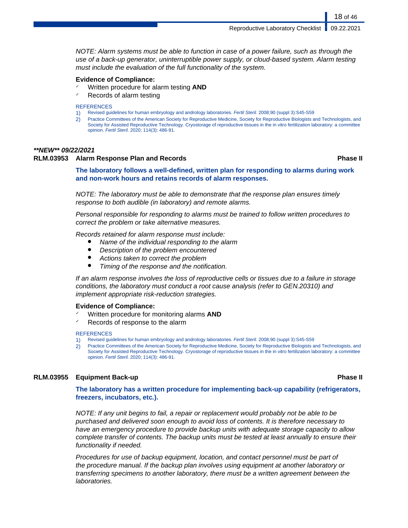NOTE: Alarm systems must be able to function in case of a power failure, such as through the use of a back-up generator, uninterruptible power supply, or cloud-based system. Alarm testing must include the evaluation of the full functionality of the system.

### **Evidence of Compliance:**

- ✓ Written procedure for alarm testing **AND**
- $\checkmark$  Records of alarm testing

### **REFERENCES**

- 1) Revised guidelines for human embryology and andrology laboratories. Fertil Steril. 2008;90 (suppl 3):S45-S59
- 2) Practice Committees of the American Society for Reproductive Medicine, Society for Reproductive Biologists and Technologists, and Society for Assisted Reproductive Technology. Cryostorage of reproductive tissues in the in vitro fertilization laboratory: a committee opinion. Fertil Steril. 2020; 114(3): 486-91.

### **\*\*NEW\*\* 09/22/2021**

### **RLM.03953 Alarm Response Plan and Records Phase II**

18 of 46

**The laboratory follows a well-defined, written plan for responding to alarms during work and non-work hours and retains records of alarm responses.**

NOTE: The laboratory must be able to demonstrate that the response plan ensures timely response to both audible (in laboratory) and remote alarms.

Personal responsible for responding to alarms must be trained to follow written procedures to correct the problem or take alternative measures.

Records retained for alarm response must include:

- Name of the individual responding to the alarm
- Description of the problem encountered
- Actions taken to correct the problem
- Timing of the response and the notification.

If an alarm response involves the loss of reproductive cells or tissues due to a failure in storage conditions, the laboratory must conduct a root cause analysis (refer to GEN.20310) and implement appropriate risk-reduction strategies.

### **Evidence of Compliance:**

- ✓ Written procedure for monitoring alarms **AND**
- ✓ Records of response to the alarm

### **REFERENCES**

- 1) Revised guidelines for human embryology and andrology laboratories. Fertil Steril. 2008;90 (suppl 3):S45-S59
- 2) Practice Committees of the American Society for Reproductive Medicine, Society for Reproductive Biologists and Technologists, and Society for Assisted Reproductive Technology. Cryostorage of reproductive tissues in the in vitro fertilization laboratory: a committee opinion. Fertil Steril. 2020; 114(3): 486-91.

### **RLM.03955 Equipment Back-up Phase II**

**The laboratory has a written procedure for implementing back-up capability (refrigerators, freezers, incubators, etc.).**

NOTE: If any unit begins to fail, a repair or replacement would probably not be able to be purchased and delivered soon enough to avoid loss of contents. It is therefore necessary to have an emergency procedure to provide backup units with adequate storage capacity to allow complete transfer of contents. The backup units must be tested at least annually to ensure their functionality if needed.

Procedures for use of backup equipment, location, and contact personnel must be part of the procedure manual. If the backup plan involves using equipment at another laboratory or transferring specimens to another laboratory, there must be a written agreement between the laboratories.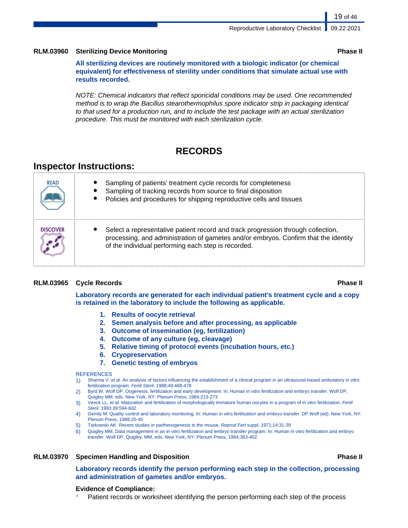### **RLM.03960 Sterilizing Device Monitoring Phase II**

**All sterilizing devices are routinely monitored with a biologic indicator (or chemical equivalent) for effectiveness of sterility under conditions that simulate actual use with results recorded.**

NOTE: Chemical indicators that reflect sporicidal conditions may be used. One recommended method is to wrap the Bacillus stearothermophilus spore indicator strip in packaging identical to that used for a production run, and to include the test package with an actual sterilization procedure. This must be monitored with each sterilization cycle.

## **RECORDS**

## **Inspector Instructions:**

| <b>READ</b> | Sampling of patients' treatment cycle records for completeness<br>Sampling of tracking records from source to final disposition<br>Policies and procedures for shipping reproductive cells and tissues                         |
|-------------|--------------------------------------------------------------------------------------------------------------------------------------------------------------------------------------------------------------------------------|
| DISCOVER    | Select a representative patient record and track progression through collection,<br>processing, and administration of gametes and/or embryos. Confirm that the identity<br>of the individual performing each step is recorded. |

### **RLM.03965 Cycle Records Phase II**

**Laboratory records are generated for each individual patient's treatment cycle and a copy is retained in the laboratory to include the following as applicable.**

- **1. Results of oocyte retrieval**
- **2. Semen analysis before and after processing, as applicable**
- **3. Outcome of insemination (eg, fertilization)**
- **4. Outcome of any culture (eg, cleavage)**
- **5. Relative timing of protocol events (incubation hours, etc.)**
- **6. Cryopreservation**
- **7. Genetic testing of embryos**

### **REFERENCES**

- 1) Sharma V, et al. An analysis of factors influencing the establishment of a clinical program in an ultrasound-based ambulatory in vitro fertilization program. Fertil Steril. 1988;49:468-478
- 2) Byrd W, Wolf DP. Oogenesis, fertilization and early development. In: Human in vitro fertilization and embryo transfer. Wolf DP, Quigley MM, eds. New York, NY: Plenum Press, 1984;213-273
- 3) Veeck LL, et al. Maturation and fertilization of morphologically immature human oocytes in a program of in vitro fertilization. Fertil Steril. 1983;39:594-602
- 4) Gerrity M. Quality control and laboratory monitoring. In: Human in vitro fertilization and embryo transfer. DP Wolf (ed). New York, NY: Plenum Press, 1988;25-45
- 5) Tarkowski AK. Recent studies in parthenogenesis in the mouse. Reprod Fert suppl. 1971;14:31-39
- 6) Quigley MM. Data management in an in vitro fertilization and embryo transfer program. In: Human in vitro fertilization and embryo transfer. Wolf DP, Quigley, MM, eds. New York, NY: Plenum Press, 1984;383-402

### **RLM.03970 Specimen Handling and Disposition Phase II**

**Laboratory records identify the person performing each step in the collection, processing and administration of gametes and/or embryos.**

### **Evidence of Compliance:**

Patient records or worksheet identifying the person performing each step of the process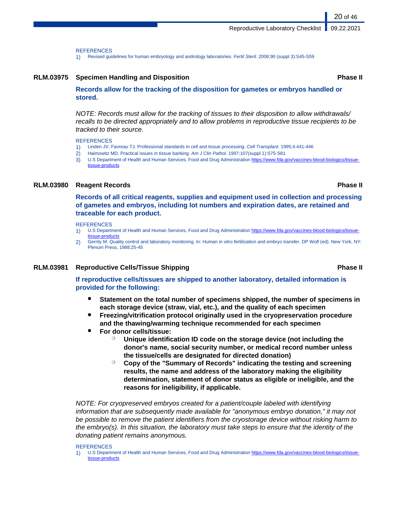**REFERENCES** 

1) Revised guidelines for human embryology and andrology laboratories. Fertil Steril. 2008;90 (suppl 3):S45-S59

### **RLM.03975 Specimen Handling and Disposition Phase II**

**Records allow for the tracking of the disposition for gametes or embryos handled or stored.**

NOTE: Records must allow for the tracking of tissues to their disposition to allow withdrawals/ recalls to be directed appropriately and to allow problems in reproductive tissue recipients to be tracked to their source.

**REFERENCES** 

- 1) Linden JV, Favreau TJ. Professional standards in cell and tissue processing. Cell Transplant. 1995;4:441-446
- 2) Haimowitz MD. Practical issues in tissue banking. Am J Clin Pathol. 1997;107(suppl 1):S75-S81
- 3) U.S Department of Health and Human Services, Food and Drug Administration [https://www.fda.gov/vaccines-blood-biologics/tissue](https://www.fda.gov/vaccines-blood-biologics/tissue-tissue-products)[tissue-products](https://www.fda.gov/vaccines-blood-biologics/tissue-tissue-products)

### **RLM.03980 Reagent Records Phase II**

**Records of all critical reagents, supplies and equipment used in collection and processing of gametes and embryos, including lot numbers and expiration dates, are retained and traceable for each product.**

**REFERENCES** 

- 1) U.S Department of Health and Human Services, Food and Drug Administration [https://www.fda.gov/vaccines-blood-biologics/tissue](https://www.fda.gov/vaccines-blood-biologics/tissue-tissue-products)[tissue-products](https://www.fda.gov/vaccines-blood-biologics/tissue-tissue-products)
- 2) Gerrity M. Quality control and laboratory monitoring. In: Human in vitro fertilization and embryo transfer. DP Wolf (ed). New York, NY: Plenum Press, 1988;25-45

### **RLM.03981 Reproductive Cells/Tissue Shipping Phase II**

**If reproductive cells/tissues are shipped to another laboratory, detailed information is provided for the following:**

- **Statement on the total number of specimens shipped, the number of specimens in each storage device (straw, vial, etc.), and the quality of each specimen**
- **Freezing/vitrification protocol originally used in the cryopreservation procedure and the thawing/warming technique recommended for each specimen**
- **For donor cells/tissue:**
	- ❍ **Unique identification ID code on the storage device (not including the donor's name, social security number, or medical record number unless the tissue/cells are designated for directed donation)**
	- ❍ **Copy of the "Summary of Records" indicating the testing and screening results, the name and address of the laboratory making the eligibility determination, statement of donor status as eligible or ineligible, and the reasons for ineligibility, if applicable.**

NOTE: For cryopreserved embryos created for a patient/couple labeled with identifying information that are subsequently made available for "anonymous embryo donation," it may not be possible to remove the patient identifiers from the cryostorage device without risking harm to the embryo(s). In this situation, the laboratory must take steps to ensure that the identity of the donating patient remains anonymous.

### REFERENCES

1) U.S Department of Health and Human Services, Food and Drug Administration [https://www.fda.gov/vaccines-blood-biologics/tissue](https://www.fda.gov/vaccines-blood-biologics/tissue-tissue-products)[tissue-products](https://www.fda.gov/vaccines-blood-biologics/tissue-tissue-products)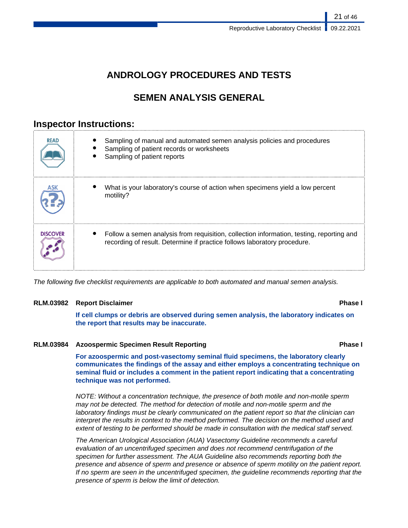## **ANDROLOGY PROCEDURES AND TESTS**

## **SEMEN ANALYSIS GENERAL**

## **Inspector Instructions:**

| <b>READ</b>     | Sampling of manual and automated semen analysis policies and procedures<br>Sampling of patient records or worksheets<br>Sampling of patient reports                  |
|-----------------|----------------------------------------------------------------------------------------------------------------------------------------------------------------------|
|                 | What is your laboratory's course of action when specimens yield a low percent<br>motility?                                                                           |
| <b>DISCOVER</b> | Follow a semen analysis from requisition, collection information, testing, reporting and<br>recording of result. Determine if practice follows laboratory procedure. |

The following five checklist requirements are applicable to both automated and manual semen analysis.

### **RLM.03982 Report Disclaimer Phase I**

**If cell clumps or debris are observed during semen analysis, the laboratory indicates on the report that results may be inaccurate.**

### **RLM.03984 Azoospermic Specimen Result Reporting Phase I**

**For azoospermic and post-vasectomy seminal fluid specimens, the laboratory clearly communicates the findings of the assay and either employs a concentrating technique on seminal fluid or includes a comment in the patient report indicating that a concentrating technique was not performed.**

NOTE: Without a concentration technique, the presence of both motile and non-motile sperm may not be detected. The method for detection of motile and non-motile sperm and the laboratory findings must be clearly communicated on the patient report so that the clinician can interpret the results in context to the method performed. The decision on the method used and extent of testing to be performed should be made in consultation with the medical staff served.

The American Urological Association (AUA) Vasectomy Guideline recommends a careful evaluation of an uncentrifuged specimen and does not recommend centrifugation of the specimen for further assessment. The AUA Guideline also recommends reporting both the presence and absence of sperm and presence or absence of sperm motility on the patient report. If no sperm are seen in the uncentrifuged specimen, the guideline recommends reporting that the presence of sperm is below the limit of detection.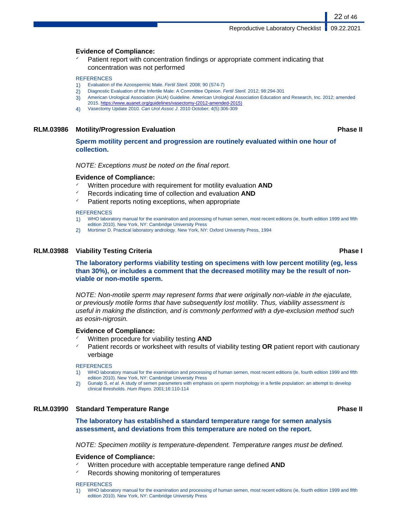### **Evidence of Compliance:**

Patient report with concentration findings or appropriate comment indicating that concentration was not performed

### **REFERENCES**

- 1) Evaluation of the Azoospermic Male. Fertil Steril. 2008; 90 (S74-7)
- 2) Diagnostic Evaluation of the Infertile Male: A Committee Opinion. Fertil Steril. 2012; 98:294-301
- 3) American Urological Association (AUA) Guideline. American Urological Association Education and Research, Inc. 2012; amended
- 2015. [https://www.auanet.org/guidelines/vasectomy-\(2012-amended-2015\)](https://www.auanet.org/guidelines/vasectomy-(2012-amended-2015))
- 4) Vasectomy Update 2010. Can Urol Assoc J. 2010 October; 4(5):306-309

### **RLM.03986 Motility/Progression Evaluation Phase II**

**Sperm motility percent and progression are routinely evaluated within one hour of collection.**

NOTE: Exceptions must be noted on the final report.

### **Evidence of Compliance:**

- Written procedure with requirement for motility evaluation **AND**
- ✓ Records indicating time of collection and evaluation **AND**
- Patient reports noting exceptions, when appropriate

### **REFERENCES**

- 1) WHO laboratory manual for the examination and processing of human semen, most recent editions (ie, fourth edition 1999 and fifth edition 2010). New York, NY: Cambridge University Press
- 2) Mortimer D. Practical laboratory andrology. New York, NY: Oxford University Press, 1994

### **RLM.03988 Viability Testing Criteria Phase I**

**The laboratory performs viability testing on specimens with low percent motility (eg, less than 30%), or includes a comment that the decreased motility may be the result of nonviable or non-motile sperm.**

NOTE: Non-motile sperm may represent forms that were originally non-viable in the ejaculate, or previously motile forms that have subsequently lost motility. Thus, viability assessment is useful in making the distinction, and is commonly performed with a dye-exclusion method such as eosin-nigrosin.

### **Evidence of Compliance:**

- Written procedure for viability testing **AND**
- ✓ Patient records or worksheet with results of viability testing **OR** patient report with cautionary verbiage

### **REFERENCES**

- 1) WHO laboratory manual for the examination and processing of human semen, most recent editions (ie, fourth edition 1999 and fifth edition 2010). New York, NY: Cambridge University Press
- 2) Gunalp S, et al. A study of semen parameters with emphasis on sperm morphology in a fertile population: an attempt to develop clinical thresholds. Hum Repro. 2001;16:110-114

### **RLM.03990 Standard Temperature Range Phase II**

**The laboratory has established a standard temperature range for semen analysis assessment, and deviations from this temperature are noted on the report.**

NOTE: Specimen motility is temperature-dependent. Temperature ranges must be defined.

### **Evidence of Compliance:**

- ✓ Written procedure with acceptable temperature range defined **AND**
- Records showing monitoring of temperatures

### **REFERENCES**

1) WHO laboratory manual for the examination and processing of human semen, most recent editions (ie, fourth edition 1999 and fifth edition 2010). New York, NY: Cambridge University Press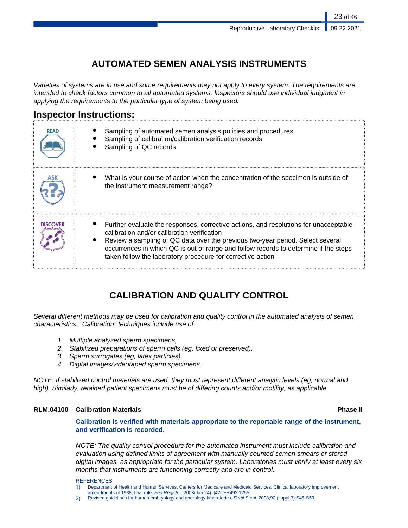## **AUTOMATED SEMEN ANALYSIS INSTRUMENTS**

Varieties of systems are in use and some requirements may not apply to every system. The requirements are intended to check factors common to all automated systems. Inspectors should use individual judgment in applying the requirements to the particular type of system being used.

## **Inspector Instructions:**

| <b>READ</b>     | Sampling of automated semen analysis policies and procedures<br>Sampling of calibration/calibration verification records<br>Sampling of QC records                                                                                                                                                                                                                           |
|-----------------|------------------------------------------------------------------------------------------------------------------------------------------------------------------------------------------------------------------------------------------------------------------------------------------------------------------------------------------------------------------------------|
|                 | What is your course of action when the concentration of the specimen is outside of<br>the instrument measurement range?                                                                                                                                                                                                                                                      |
| <b>DISCOVER</b> | Further evaluate the responses, corrective actions, and resolutions for unacceptable<br>calibration and/or calibration verification<br>Review a sampling of QC data over the previous two-year period. Select several<br>occurrences in which QC is out of range and follow records to determine if the steps<br>taken follow the laboratory procedure for corrective action |

## **CALIBRATION AND QUALITY CONTROL**

Several different methods may be used for calibration and quality control in the automated analysis of semen characteristics. "Calibration" techniques include use of:

- 1. Multiple analyzed sperm specimens,
- 2. Stabilized preparations of sperm cells (eg, fixed or preserved),
- 3. Sperm surrogates (eg, latex particles),
- 4. Digital images/videotaped sperm specimens.

NOTE: If stabilized control materials are used, they must represent different analytic levels (eg, normal and high). Similarly, retained patient specimens must be of differing counts and/or motility, as applicable.

## **RLM.04100 Calibration Materials Phase II**

**Calibration is verified with materials appropriate to the reportable range of the instrument, and verification is recorded.**

NOTE: The quality control procedure for the automated instrument must include calibration and evaluation using defined limits of agreement with manually counted semen smears or stored digital images, as appropriate for the particular system. Laboratories must verify at least every six months that instruments are functioning correctly and are in control.

### **REFERENCES**

- 1) Department of Health and Human Services, Centers for Medicare and Medicaid Services. Clinical laboratory improvement amendments of 1988; final rule. Fed Register. 2003(Jan 24): [42CFR493.1255]
- 2) Revised guidelines for human embryology and andrology laboratories. Fertil Steril. 2008;90 (suppl 3):S45-S59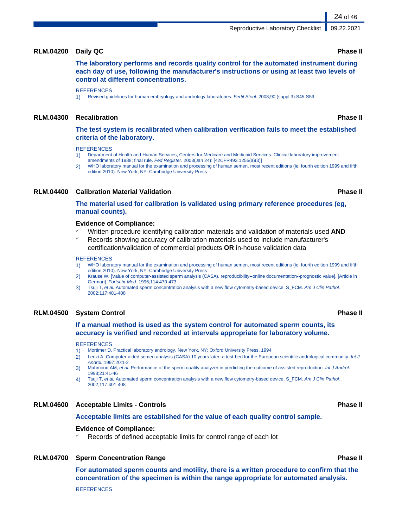### **RLM.04200 Daily QC Phase II**

**The laboratory performs and records quality control for the automated instrument during each day of use, following the manufacturer's instructions or using at least two levels of control at different concentrations.**

### **REFERENCES**

1) Revised guidelines for human embryology and andrology laboratories. Fertil Steril. 2008;90 (suppl 3):S45-S59

### **RLM.04300 Recalibration Phase II**

**The test system is recalibrated when calibration verification fails to meet the established criteria of the laboratory.**

**REFERENCES** 

- 1) Department of Health and Human Services, Centers for Medicare and Medicaid Services. Clinical laboratory improvement amendments of 1988; final rule. Fed Register. 2003(Jan 24): [42CFR493.1255(a)(3)]
- 2) WHO laboratory manual for the examination and processing of human semen, most recent editions (ie, fourth edition 1999 and fifth edition 2010). New York, NY: Cambridge University Press

### **RLM.04400 Calibration Material Validation Phase II**

**The material used for calibration is validated using primary reference procedures (eg, manual counts).**

### **Evidence of Compliance:**

- ✓ Written procedure identifying calibration materials and validation of materials used **AND**
- Records showing accuracy of calibration materials used to include manufacturer's certification/validation of commercial products **OR** in-house validation data

### **REFERENCES**

- 1) WHO laboratory manual for the examination and processing of human semen, most recent editions (ie, fourth edition 1999 and fifth edition 2010). New York, NY: Cambridge University Press
- 2) Krause W. [Value of computer-assisted sperm analysis (CASA). reproducibility--online documentation--prognostic value]. [Article in German]. Fortschr Med. 1996;114:470-473
- 3) Tsuji T, et al. Automated sperm concentration analysis with a new flow cytometry-based device, S\_FCM. Am J Clin Pathol. 2002;117:401-408

### **RLM.04500 System Control Phase II**

### **If a manual method is used as the system control for automated sperm counts, its accuracy is verified and recorded at intervals appropriate for laboratory volume.**

### **REFERENCES**

- 1) Mortimer D. Practical laboratory andrology. New York, NY: Oxford University Press. 1994
- 2) Lenzi A. Computer-aided semen analysis (CASA) 10 years later: a test-bed for the European scientific andrological community. Int J Androl. 1997;20:1-2
- 3) Mahmoud AM, et al. Performance of the sperm quality analyzer in predicting the outcome of assisted reproduction. Int J Androl. 1998;21:41-46
- 4) Tsuji T, et al. Automated sperm concentration analysis with a new flow cytometry-based device, S\_FCM. Am J Clin Pathol. 2002;117:401-408

### **RLM.04600 Acceptable Limits - Controls Phase II**

### **Acceptable limits are established for the value of each quality control sample.**

### **Evidence of Compliance:**

Records of defined acceptable limits for control range of each lot

### **RLM.04700 Sperm Concentration Range Phase II**

**For automated sperm counts and motility, there is a written procedure to confirm that the concentration of the specimen is within the range appropriate for automated analysis. REFERENCES**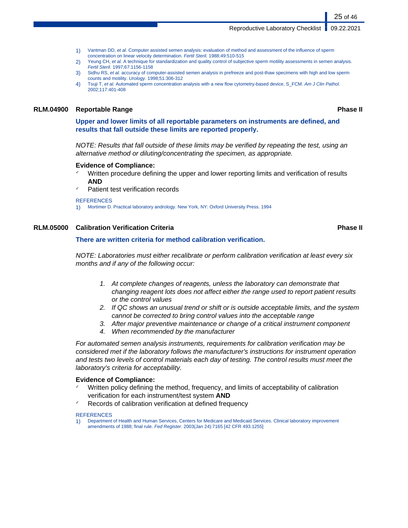- 1) Vantman DD, et al. Computer assisted semen analysis: evaluation of method and assessment of the influence of sperm concentration on linear velocity determination. Fertil Steril. 1988;49:510-515
- 2) Yeung CH, et al. A technique for standardization and quality control of subjective sperm motility assessments in semen analysis. Fertil Steril. 1997;67:1156-1158
- 3) Sidhu RS, et al. accuracy of computer-assisted semen analysis in prefreeze and post-thaw specimens with high and low sperm counts and motility. Urology. 1998;51:306-312
- 4) Tsuji T, et al. Automated sperm concentration analysis with a new flow cytometry-based device, S\_FCM. Am J Clin Pathol. 2002;117:401-408

### **RLM.04900 Reportable Range Phase II**

25 of 46

**Upper and lower limits of all reportable parameters on instruments are defined, and results that fall outside these limits are reported properly.**

NOTE: Results that fall outside of these limits may be verified by repeating the test, using an alternative method or diluting/concentrating the specimen, as appropriate.

### **Evidence of Compliance:**

- Written procedure defining the upper and lower reporting limits and verification of results **AND**
- Patient test verification records

### **REFERENCES**

1) Mortimer D. Practical laboratory andrology. New York, NY: Oxford University Press. 1994

### **RLM.05000 Calibration Verification Criteria Phase II**

### **There are written criteria for method calibration verification.**

NOTE: Laboratories must either recalibrate or perform calibration verification at least every six months and if any of the following occur:

- 1. At complete changes of reagents, unless the laboratory can demonstrate that changing reagent lots does not affect either the range used to report patient results or the control values
- 2. If QC shows an unusual trend or shift or is outside acceptable limits, and the system cannot be corrected to bring control values into the acceptable range
- 3. After major preventive maintenance or change of a critical instrument component
- 4. When recommended by the manufacturer

For automated semen analysis instruments, requirements for calibration verification may be considered met if the laboratory follows the manufacturer's instructions for instrument operation and tests two levels of control materials each day of testing. The control results must meet the laboratory's criteria for acceptability.

### **Evidence of Compliance:**

- Written policy defining the method, frequency, and limits of acceptability of calibration verification for each instrument/test system **AND**
- Records of calibration verification at defined frequency

### **REFERENCES**

1) Department of Health and Human Services, Centers for Medicare and Medicaid Services. Clinical laboratory improvement amendments of 1988; final rule. Fed Register. 2003(Jan 24):7165 [42 CFR 493.1255]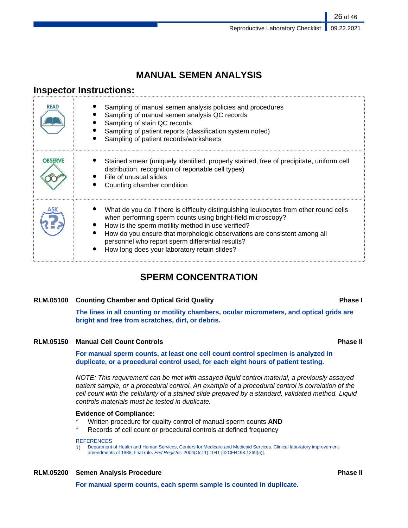## **MANUAL SEMEN ANALYSIS**

## **Inspector Instructions:**

| READ           | Sampling of manual semen analysis policies and procedures<br>Sampling of manual semen analysis QC records<br>Sampling of stain QC records<br>Sampling of patient reports (classification system noted)<br>Sampling of patient records/worksheets                                                                                                                                           |
|----------------|--------------------------------------------------------------------------------------------------------------------------------------------------------------------------------------------------------------------------------------------------------------------------------------------------------------------------------------------------------------------------------------------|
| <b>OBSERVE</b> | Stained smear (uniquely identified, properly stained, free of precipitate, uniform cell<br>distribution, recognition of reportable cell types)<br>File of unusual slides<br>Counting chamber condition                                                                                                                                                                                     |
|                | What do you do if there is difficulty distinguishing leukocytes from other round cells<br>when performing sperm counts using bright-field microscopy?<br>How is the sperm motility method in use verified?<br>How do you ensure that morphologic observations are consistent among all<br>personnel who report sperm differential results?<br>How long does your laboratory retain slides? |

## **SPERM CONCENTRATION**

### **RLM.05100 Counting Chamber and Optical Grid Quality Phase I**

**The lines in all counting or motility chambers, ocular micrometers, and optical grids are bright and free from scratches, dirt, or debris.**

### **RLM.05150 Manual Cell Count Controls Phase II**

**For manual sperm counts, at least one cell count control specimen is analyzed in duplicate, or a procedural control used, for each eight hours of patient testing.**

NOTE: This requirement can be met with assayed liquid control material, a previously assayed patient sample, or a procedural control. An example of a procedural control is correlation of the cell count with the cellularity of a stained slide prepared by a standard, validated method. Liquid controls materials must be tested in duplicate.

### **Evidence of Compliance:**

- ✓ Written procedure for quality control of manual sperm counts **AND**
- Records of cell count or procedural controls at defined frequency

### **REFERENCES**

1) Department of Health and Human Services, Centers for Medicare and Medicaid Services. Clinical laboratory improvement amendments of 1988; final rule. Fed Register. 2004(Oct 1):1041 [42CFR493.1269(a)].

## **RLM.05200 Semen Analysis Procedure Phase II**

**For manual sperm counts, each sperm sample is counted in duplicate.**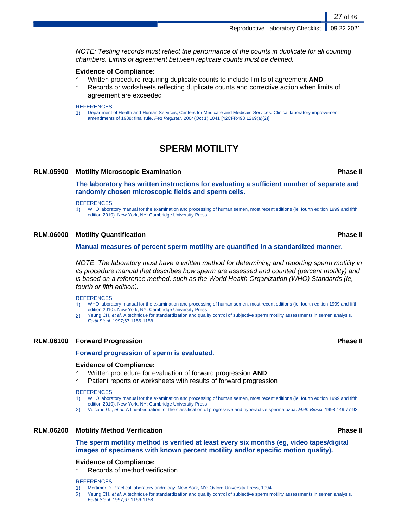NOTE: Testing records must reflect the performance of the counts in duplicate for all counting chambers. Limits of agreement between replicate counts must be defined.

### **Evidence of Compliance:**

- ✓ Written procedure requiring duplicate counts to include limits of agreement **AND**
- ✓ Records or worksheets reflecting duplicate counts and corrective action when limits of agreement are exceeded

### **REFERENCES**

1) Department of Health and Human Services, Centers for Medicare and Medicaid Services. Clinical laboratory improvement amendments of 1988; final rule. Fed Register. 2004(Oct 1):1041 [42CFR493.1269(a)(2)].

## **SPERM MOTILITY**

### **RLM.05900 Motility Microscopic Examination Phase II**

**The laboratory has written instructions for evaluating a sufficient number of separate and randomly chosen microscopic fields and sperm cells.**

### **REFERENCES**

1) WHO laboratory manual for the examination and processing of human semen, most recent editions (ie, fourth edition 1999 and fifth edition 2010). New York, NY: Cambridge University Press

### **RLM.06000 Motility Quantification Phase II**

### **Manual measures of percent sperm motility are quantified in a standardized manner.**

NOTE: The laboratory must have a written method for determining and reporting sperm motility in its procedure manual that describes how sperm are assessed and counted (percent motility) and is based on a reference method, such as the World Health Organization (WHO) Standards (ie, fourth or fifth edition).

**REFERENCES** 

- 1) WHO laboratory manual for the examination and processing of human semen, most recent editions (ie, fourth edition 1999 and fifth edition 2010). New York, NY: Cambridge University Press
- 2) Yeung CH, et al. A technique for standardization and quality control of subjective sperm motility assessments in semen analysis. Fertil Steril. 1997;67:1156-1158

### **RLM.06100 Forward Progression Phase II**

### **Forward progression of sperm is evaluated.**

### **Evidence of Compliance:**

- ✓ Written procedure for evaluation of forward progression **AND**
- Patient reports or worksheets with results of forward progression

### **REFERENCES**

- 1) WHO laboratory manual for the examination and processing of human semen, most recent editions (ie, fourth edition 1999 and fifth edition 2010). New York, NY: Cambridge University Press
- 2) Vulcano GJ, et al. A lineal equation for the classification of progressive and hyperactive spermatozoa. Math Biosci. 1998;149:77-93

### **RLM.06200 Motility Method Verification Phase II**

### **The sperm motility method is verified at least every six months (eg, video tapes/digital images of specimens with known percent motility and/or specific motion quality).**

## **Evidence of Compliance:**

Records of method verification

### **REFERENCES**

- 1) Mortimer D. Practical laboratory andrology. New York, NY: Oxford University Press, 1994
- 2) Yeung CH, et al. A technique for standardization and quality control of subjective sperm motility assessments in semen analysis. Fertil Steril. 1997;67:1156-1158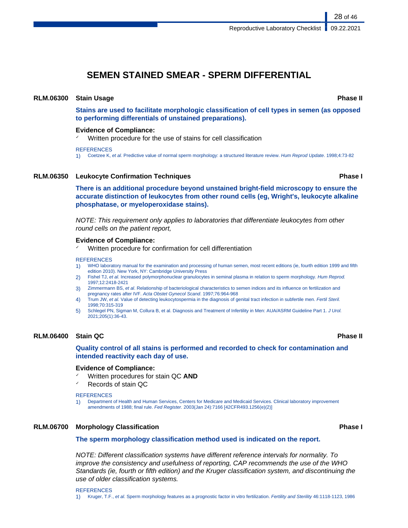## **SEMEN STAINED SMEAR - SPERM DIFFERENTIAL**

### **RLM.06300 Stain Usage Phase II**

**Stains are used to facilitate morphologic classification of cell types in semen (as opposed to performing differentials of unstained preparations).**

### **Evidence of Compliance:**

✓ Written procedure for the use of stains for cell classification

### **REFERENCES**

1) Coetzee K, et al. Predictive value of normal sperm morphology: a structured literature review. Hum Reprod Update. 1998;4:73-82

### **RLM.06350 Leukocyte Confirmation Techniques Phase I**

**There is an additional procedure beyond unstained bright-field microscopy to ensure the accurate distinction of leukocytes from other round cells (eg, Wright's, leukocyte alkaline phosphatase, or myeloperoxidase stains).**

NOTE: This requirement only applies to laboratories that differentiate leukocytes from other round cells on the patient report,

### **Evidence of Compliance:**

Written procedure for confirmation for cell differentiation

### **REFERENCES**

- 1) WHO laboratory manual for the examination and processing of human semen, most recent editions (ie, fourth edition 1999 and fifth edition 2010). New York, NY: Cambridge University Press
- 2) Fishel TJ, et al. Increased polymorphonuclear granulocytes in seminal plasma in relation to sperm morphology. Hum Reprod. 1997;12:2418-2421
- 3) Zimmermann BS, et al. Relationship of bacteriological characteristics to semen indices and its influence on fertilization and pregnancy rates after IVF. Acta Obstet Gynecol Scand. 1997;76:964-968
- 4) Trum JW, et al. Value of detecting leukocytospermia in the diagnosis of genital tract infection in subfertile men. Fertil Steril. 1998;70:315-319
- 5) Schlegel PN, Sigman M, Collura B, et al. Diagnosis and Treatment of Infertility in Men: AUA/ASRM Guideline Part 1. J Urol. 2021;205(1):36-43.

### **RLM.06400 Stain QC Phase II**

### **Quality control of all stains is performed and recorded to check for contamination and intended reactivity each day of use.**

### **Evidence of Compliance:**

- ✓ Written procedures for stain QC **AND**
- Records of stain QC

### **REFERENCES**

1) Department of Health and Human Services, Centers for Medicare and Medicaid Services. Clinical laboratory improvement amendments of 1988; final rule. Fed Register. 2003(Jan 24):7166 [42CFR493.1256(e)(2)]

### **RLM.06700 Morphology Classification Phase I**

### **The sperm morphology classification method used is indicated on the report.**

NOTE: Different classification systems have different reference intervals for normality. To improve the consistency and usefulness of reporting, CAP recommends the use of the WHO Standards (ie, fourth or fifth edition) and the Kruger classification system, and discontinuing the use of older classification systems.

**REFERENCES** 1) Kruger, T.F., et al. Sperm morphology features as a prognostic factor in vitro fertilization. Fertility and Sterility 46:1118-1123, 1986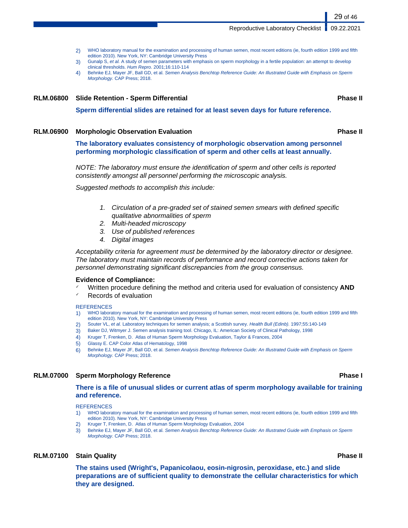Reproductive Laboratory Checklist | 09.22.2021

- 2) WHO laboratory manual for the examination and processing of human semen, most recent editions (ie, fourth edition 1999 and fifth edition 2010). New York, NY: Cambridge University Press
- 3) Gunalp S, et al. A study of semen parameters with emphasis on sperm morphology in a fertile population: an attempt to develop clinical thresholds. Hum Repro. 2001;16:110-114
- 4) Behnke EJ, Mayer JF, Ball GD, et al. Semen Analysis Benchtop Reference Guide: An Illustrated Guide with Emphasis on Sperm Morphology. CAP Press; 2018.

### **RLM.06800 Slide Retention - Sperm Differential Phase II**

**Sperm differential slides are retained for at least seven days for future reference.**

### **RLM.06900 Morphologic Observation Evaluation Phase II**

**The laboratory evaluates consistency of morphologic observation among personnel performing morphologic classification of sperm and other cells at least annually.**

NOTE: The laboratory must ensure the identification of sperm and other cells is reported consistently amongst all personnel performing the microscopic analysis.

Suggested methods to accomplish this include:

- 1. Circulation of a pre-graded set of stained semen smears with defined specific qualitative abnormalities of sperm
- 2. Multi-headed microscopy
- 3. Use of published references
- 4. Digital images

Acceptability criteria for agreement must be determined by the laboratory director or designee. The laboratory must maintain records of performance and record corrective actions taken for personnel demonstrating significant discrepancies from the group consensus.

### **Evidence of Compliance:**

- Written procedure defining the method and criteria used for evaluation of consistency **AND**
- Records of evaluation

### **REFERENCES**

- 1) WHO laboratory manual for the examination and processing of human semen, most recent editions (ie, fourth edition 1999 and fifth edition 2010). New York, NY: Cambridge University Press
- 2) Souter VL, et al. Laboratory techniques for semen analysis; a Scottish survey. Health Bull (Edinb). 1997;55:140-149
- 3) Baker DJ, Witmyer J. Semen analysis training tool. Chicago, IL: American Society of Clinical Pathology, 1998
- 4) Kruger T, Frenken, D. Atlas of Human Sperm Morphology Evaluation, Taylor & Frances, 2004
- 5) Glassy E. CAP Color Atlas of Hematology, 1998
- 6) Behnke EJ, Mayer JF, Ball GD, et al. Semen Analysis Benchtop Reference Guide: An Illustrated Guide with Emphasis on Sperm Morphology. CAP Press; 2018.

### **RLM.07000 Sperm Morphology Reference Phase I**

**There is a file of unusual slides or current atlas of sperm morphology available for training and reference.**

**REFERENCES** 

- 1) WHO laboratory manual for the examination and processing of human semen, most recent editions (ie, fourth edition 1999 and fifth edition 2010). New York, NY: Cambridge University Press
- 2) Kruger T, Frenken, D. Atlas of Human Sperm Morphology Evaluation, 2004
- 3) Behnke EJ, Mayer JF, Ball GD, et al. Semen Analysis Benchtop Reference Guide: An Illustrated Guide with Emphasis on Sperm Morphology. CAP Press; 2018.

### **RLM.07100 Stain Quality Phase II**

**The stains used (Wright's, Papanicolaou, eosin-nigrosin, peroxidase, etc.) and slide preparations are of sufficient quality to demonstrate the cellular characteristics for which they are designed.**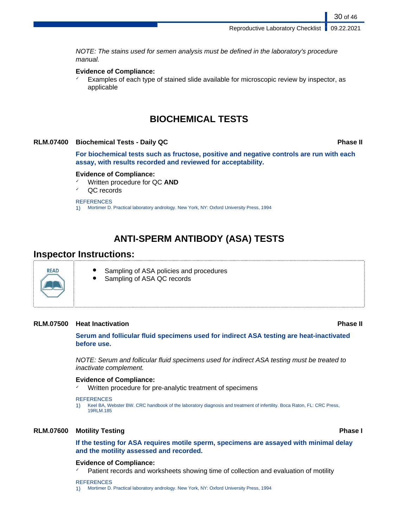NOTE: The stains used for semen analysis must be defined in the laboratory's procedure manual.

### **Evidence of Compliance:**

 $\checkmark$  Examples of each type of stained slide available for microscopic review by inspector, as applicable

## **BIOCHEMICAL TESTS**

### **RLM.07400 Biochemical Tests - Daily QC Phase II**

30 of 46

**For biochemical tests such as fructose, positive and negative controls are run with each assay, with results recorded and reviewed for acceptability.**

### **Evidence of Compliance:**

- ✓ Written procedure for QC **AND**
- QC records

### **REFERENCES**

1) Mortimer D. Practical laboratory andrology. New York, NY: Oxford University Press, 1994

## **ANTI-SPERM ANTIBODY (ASA) TESTS**

## **Inspector Instructions:**



- Sampling of ASA policies and procedures
- Sampling of ASA QC records

### **RLM.07500 Heat Inactivation Phase II**

**Serum and follicular fluid specimens used for indirect ASA testing are heat-inactivated before use.**

NOTE: Serum and follicular fluid specimens used for indirect ASA testing must be treated to inactivate complement.

### **Evidence of Compliance:**

Written procedure for pre-analytic treatment of specimens

### **REFERENCES**

1) Keel BA, Webster BW. CRC handbook of the laboratory diagnosis and treatment of infertility. Boca Raton, FL: CRC Press, 19RLM.185

### **RLM.07600 Motility Testing Phase I**

**If the testing for ASA requires motile sperm, specimens are assayed with minimal delay and the motility assessed and recorded.**

### **Evidence of Compliance:**

Patient records and worksheets showing time of collection and evaluation of motility

### **REFERENCES**

1) Mortimer D. Practical laboratory andrology. New York, NY: Oxford University Press, 1994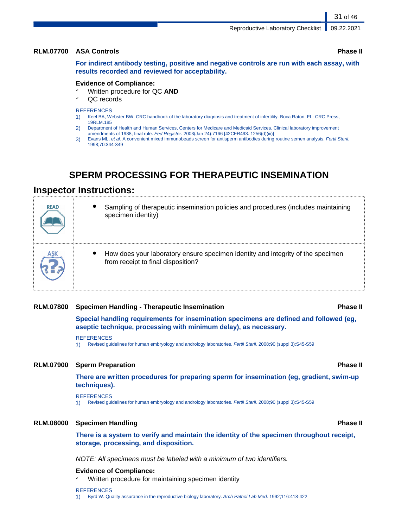### **RLM.07700 ASA Controls Phase II**

**For indirect antibody testing, positive and negative controls are run with each assay, with results recorded and reviewed for acceptability.**

### **Evidence of Compliance:**

- ✓ Written procedure for QC **AND**
- QC records

### **REFERENCES**

- 1) Keel BA, Webster BW. CRC handbook of the laboratory diagnosis and treatment of infertility. Boca Raton, FL: CRC Press, 19RLM.185
- 2) Department of Health and Human Services, Centers for Medicare and Medicaid Services. Clinical laboratory improvement amendments of 1988; final rule. Fed Register. 2003(Jan 24):7166 [42CFR493. 1256(d)(iii)]
- 3) Evans ML, et al. A convenient mixed immunobeads screen for antisperm antibodies during routine semen analysis. Fertil Steril. 1998;70:344-349

## **SPERM PROCESSING FOR THERAPEUTIC INSEMINATION**

### **Inspector Instructions:**

| <b>READ</b> | Sampling of therapeutic insemination policies and procedures (includes maintaining<br>specimen identity)              |
|-------------|-----------------------------------------------------------------------------------------------------------------------|
| ASK         | How does your laboratory ensure specimen identity and integrity of the specimen<br>from receipt to final disposition? |

### **RLM.07800 Specimen Handling - Therapeutic Insemination Phase II**

**Special handling requirements for insemination specimens are defined and followed (eg,**

**aseptic technique, processing with minimum delay), as necessary.**

### **REFERENCES**

1) Revised guidelines for human embryology and andrology laboratories. Fertil Steril. 2008;90 (suppl 3):S45-S59

### **RLM.07900 Sperm Preparation Phase II**

**There are written procedures for preparing sperm for insemination (eg, gradient, swim-up techniques).**

### **REFERENCES**

1) Revised guidelines for human embryology and andrology laboratories. Fertil Steril. 2008;90 (suppl 3):S45-S59

### **RLM.08000 Specimen Handling Phase II**

**There is a system to verify and maintain the identity of the specimen throughout receipt, storage, processing, and disposition.**

NOTE: All specimens must be labeled with a minimum of two identifiers.

### **Evidence of Compliance:**

Written procedure for maintaining specimen identity

### **REFERENCES**

1) Byrd W. Quality assurance in the reproductive biology laboratory. Arch Pathol Lab Med. 1992;116:418-422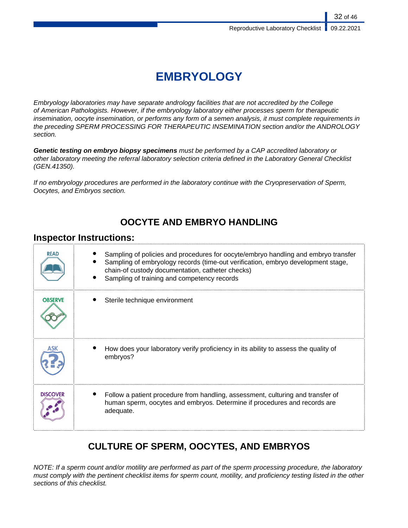# **EMBRYOLOGY**

Embryology laboratories may have separate andrology facilities that are not accredited by the College of American Pathologists. However, if the embryology laboratory either processes sperm for therapeutic insemination, oocyte insemination, or performs any form of a semen analysis, it must complete requirements in the preceding SPERM PROCESSING FOR THERAPEUTIC INSEMINATION section and/or the ANDROLOGY section.

**Genetic testing on embryo biopsy specimens** must be performed by a CAP accredited laboratory or other laboratory meeting the referral laboratory selection criteria defined in the Laboratory General Checklist (GEN.41350).

If no embryology procedures are performed in the laboratory continue with the Cryopreservation of Sperm, Oocytes, and Embryos section.

## **OOCYTE AND EMBRYO HANDLING**

## **Inspector Instructions:**

| <b>READ</b>     | Sampling of policies and procedures for oocyte/embryo handling and embryo transfer<br>Sampling of embryology records (time-out verification, embryo development stage,<br>chain-of custody documentation, catheter checks)<br>Sampling of training and competency records |
|-----------------|---------------------------------------------------------------------------------------------------------------------------------------------------------------------------------------------------------------------------------------------------------------------------|
| <b>OBSERVE</b>  | Sterile technique environment                                                                                                                                                                                                                                             |
|                 | How does your laboratory verify proficiency in its ability to assess the quality of<br>embryos?                                                                                                                                                                           |
| <b>DISCOVER</b> | Follow a patient procedure from handling, assessment, culturing and transfer of<br>human sperm, oocytes and embryos. Determine if procedures and records are<br>adequate.                                                                                                 |

## **CULTURE OF SPERM, OOCYTES, AND EMBRYOS**

NOTE: If a sperm count and/or motility are performed as part of the sperm processing procedure, the laboratory must comply with the pertinent checklist items for sperm count, motility, and proficiency testing listed in the other sections of this checklist.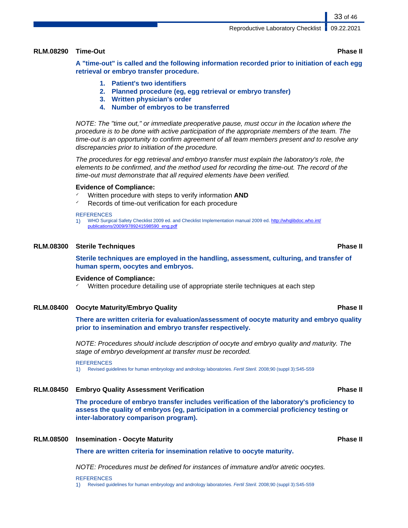### **RLM.08290 Time-Out Phase II**

**A "time-out" is called and the following information recorded prior to initiation of each egg retrieval or embryo transfer procedure.**

- **1. Patient's two identifiers**
- **2. Planned procedure (eg, egg retrieval or embryo transfer)**
- **3. Written physician's order**
- **4. Number of embryos to be transferred**

NOTE: The "time out," or immediate preoperative pause, must occur in the location where the procedure is to be done with active participation of the appropriate members of the team. The time-out is an opportunity to confirm agreement of all team members present and to resolve any discrepancies prior to initiation of the procedure.

The procedures for egg retrieval and embryo transfer must explain the laboratory's role, the elements to be confirmed, and the method used for recording the time-out. The record of the time-out must demonstrate that all required elements have been verified.

### **Evidence of Compliance:**

- Written procedure with steps to verify information **AND**
- Records of time-out verification for each procedure

### **REFERENCES**

1) WHO Surgical Safety Checklist 2009 ed. and Checklist Implementation manual 2009 ed. [http://whqlibdoc.who.int/](http://whqlibdoc.who.int/publications/2009/9789241598590_eng.pdf) [publications/2009/9789241598590\\_eng.pdf](http://whqlibdoc.who.int/publications/2009/9789241598590_eng.pdf)

### **RLM.08300 Sterile Techniques Phase II**

**Sterile techniques are employed in the handling, assessment, culturing, and transfer of human sperm, oocytes and embryos.**

### **Evidence of Compliance:**

Written procedure detailing use of appropriate sterile techniques at each step

### **RLM.08400 Oocyte Maturity/Embryo Quality Phase II**

**There are written criteria for evaluation/assessment of oocyte maturity and embryo quality prior to insemination and embryo transfer respectively.**

NOTE: Procedures should include description of oocyte and embryo quality and maturity. The stage of embryo development at transfer must be recorded.

**REFERENCES** 

1) Revised guidelines for human embryology and andrology laboratories. Fertil Steril. 2008;90 (suppl 3):S45-S59

### **RLM.08450 Embryo Quality Assessment Verification Phase II**

**The procedure of embryo transfer includes verification of the laboratory's proficiency to assess the quality of embryos (eg, participation in a commercial proficiency testing or inter-laboratory comparison program).**

### **RLM.08500 Insemination - Oocyte Maturity Phase II**

**There are written criteria for insemination relative to oocyte maturity.**

NOTE: Procedures must be defined for instances of immature and/or atretic oocytes.

### **REFERENCES**

1) Revised guidelines for human embryology and andrology laboratories. Fertil Steril. 2008;90 (suppl 3):S45-S59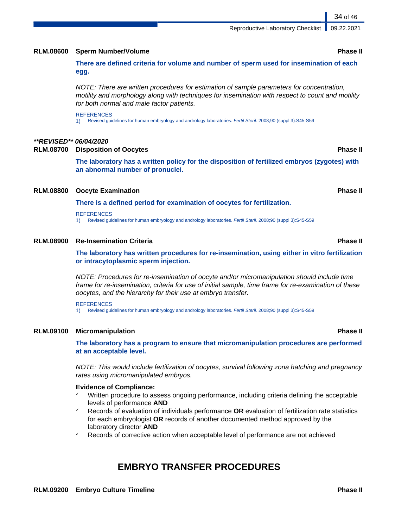## **RLM.08600 Sperm Number/Volume Phase II**

**There are defined criteria for volume and number of sperm used for insemination of each egg.**

NOTE: There are written procedures for estimation of sample parameters for concentration, motility and morphology along with techniques for insemination with respect to count and motility for both normal and male factor patients.

### **REFERENCES**

1) Revised guidelines for human embryology and andrology laboratories. Fertil Steril. 2008;90 (suppl 3):S45-S59

### **\*\*REVISED\*\* 06/04/2020**

**RLM.08700 Disposition of Oocytes Phase II**

**The laboratory has a written policy for the disposition of fertilized embryos (zygotes) with an abnormal number of pronuclei.**

### **RLM.08800 Oocyte Examination Phase II**

### **There is a defined period for examination of oocytes for fertilization.**

### **REFERENCES**

1) Revised guidelines for human embryology and andrology laboratories. Fertil Steril. 2008;90 (suppl 3):S45-S59

### **RLM.08900 Re-Insemination Criteria Phase II**

**The laboratory has written procedures for re-insemination, using either in vitro fertilization or intracytoplasmic sperm injection.**

NOTE: Procedures for re-insemination of oocyte and/or micromanipulation should include time frame for re-insemination, criteria for use of initial sample, time frame for re-examination of these oocytes, and the hierarchy for their use at embryo transfer.

### **REFERENCES**

1) Revised guidelines for human embryology and andrology laboratories. Fertil Steril. 2008;90 (suppl 3):S45-S59

### **RLM.09100 Micromanipulation Phase II**

**The laboratory has a program to ensure that micromanipulation procedures are performed at an acceptable level.**

NOTE: This would include fertilization of oocytes, survival following zona hatching and pregnancy rates using micromanipulated embryos.

### **Evidence of Compliance:**

- Written procedure to assess ongoing performance, including criteria defining the acceptable levels of performance **AND**
- ✓ Records of evaluation of individuals performance **OR** evaluation of fertilization rate statistics for each embryologist **OR** records of another documented method approved by the laboratory director **AND**
- Records of corrective action when acceptable level of performance are not achieved

## **EMBRYO TRANSFER PROCEDURES**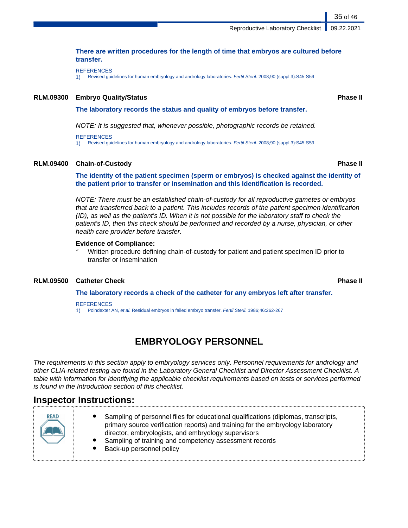Reproductive Laboratory Checklist | 09.22.2021

### **There are written procedures for the length of time that embryos are cultured before transfer.**

**REFERENCES** 

1) Revised guidelines for human embryology and andrology laboratories. Fertil Steril. 2008;90 (suppl 3):S45-S59

### **RLM.09300 Embryo Quality/Status Phase II**

### **The laboratory records the status and quality of embryos before transfer.**

NOTE: It is suggested that, whenever possible, photographic records be retained.

**REFERENCES** 

1) Revised guidelines for human embryology and andrology laboratories. Fertil Steril. 2008;90 (suppl 3):S45-S59

### **RLM.09400 Chain-of-Custody Phase II**

**The identity of the patient specimen (sperm or embryos) is checked against the identity of the patient prior to transfer or insemination and this identification is recorded.**

NOTE: There must be an established chain-of-custody for all reproductive gametes or embryos that are transferred back to a patient. This includes records of the patient specimen identification (ID), as well as the patient's ID. When it is not possible for the laboratory staff to check the patient's ID, then this check should be performed and recorded by a nurse, physician, or other health care provider before transfer.

### **Evidence of Compliance:**

Written procedure defining chain-of-custody for patient and patient specimen ID prior to transfer or insemination

### **RLM.09500 Catheter Check Phase II**

**The laboratory records a check of the catheter for any embryos left after transfer.**

### **REFERENCES**

1) Poindexter AN, et al. Residual embryos in failed embryo transfer. Fertil Steril. 1986;46:262-267

## **EMBRYOLOGY PERSONNEL**

The requirements in this section apply to embryology services only. Personnel requirements for andrology and other CLIA-related testing are found in the Laboratory General Checklist and Director Assessment Checklist. A table with information for identifying the applicable checklist requirements based on tests or services performed is found in the Introduction section of this checklist.

## **Inspector Instructions:**

| <b>READ</b> |
|-------------|
|             |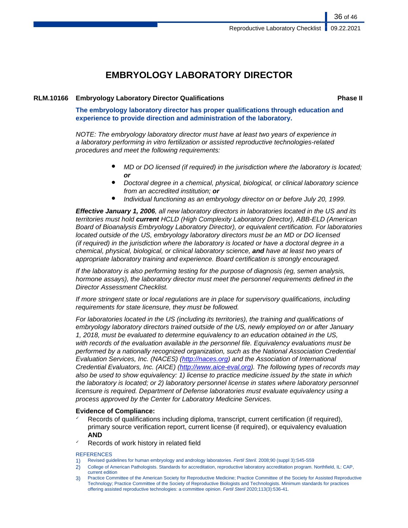## **EMBRYOLOGY LABORATORY DIRECTOR**

### **RLM.10166 Embryology Laboratory Director Qualifications Phase II**

36 of 46

**The embryology laboratory director has proper qualifications through education and experience to provide direction and administration of the laboratory.**

NOTE: The embryology laboratory director must have at least two years of experience in a laboratory performing in vitro fertilization or assisted reproductive technologies-related procedures and meet the following requirements:

- MD or DO licensed (if required) in the jurisdiction where the laboratory is located; **or**
- Doctoral degree in a chemical, physical, biological, or clinical laboratory science from an accredited institution; **or**
- Individual functioning as an embryology director on or before July 20, 1999.

**Effective January 1, 2006**, all new laboratory directors in laboratories located in the US and its territories must hold **current** HCLD (High Complexity Laboratory Director), ABB-ELD (American Board of Bioanalysis Embryology Laboratory Director), or equivalent certification. For laboratories located outside of the US, embryology laboratory directors must be an MD or DO licensed (if required) in the jurisdiction where the laboratory is located or have a doctoral degree in a chemical, physical, biological, or clinical laboratory science, **and** have at least two years of appropriate laboratory training and experience. Board certification is strongly encouraged.

If the laboratory is also performing testing for the purpose of diagnosis (eg, semen analysis, hormone assays), the laboratory director must meet the personnel requirements defined in the Director Assessment Checklist.

If more stringent state or local regulations are in place for supervisory qualifications, including requirements for state licensure, they must be followed.

For laboratories located in the US (including its territories), the training and qualifications of embryology laboratory directors trained outside of the US, newly employed on or after January 1, 2018, must be evaluated to determine equivalency to an education obtained in the US, with records of the evaluation available in the personnel file. Equivalency evaluations must be performed by a nationally recognized organization, such as the National Association Credential Evaluation Services, Inc. (NACES) [\(http://naces.org](http://naces.org)) and the Association of International Credential Evaluators, Inc. (AICE) ([http://www.aice-eval.org\)](http://www.aice-eval.org). The following types of records may also be used to show equivalency: 1) license to practice medicine issued by the state in which the laboratory is located; or 2) laboratory personnel license in states where laboratory personnel licensure is required. Department of Defense laboratories must evaluate equivalency using a process approved by the Center for Laboratory Medicine Services.

### **Evidence of Compliance:**

- Records of qualifications including diploma, transcript, current certification (if required), primary source verification report, current license (if required), or equivalency evaluation **AND**
- Records of work history in related field

### **REFERENCES**

- 1) Revised guidelines for human embryology and andrology laboratories. Fertil Steril. 2008;90 (suppl 3):S45-S59
- 2) College of American Pathologists. Standards for accreditation, reproductive laboratory accreditation program. Northfield, IL: CAP, current edition
- 3) Practice Committee of the American Society for Reproductive Medicine; Practice Committee of the Society for Assisted Reproductive Technology; Practice Committee of the Society of Reproductive Biologists and Technologists. Minimum standards for practices offering assisted reproductive technologies: a committee opinion. Fertil Steril 2020;113(3):536-41.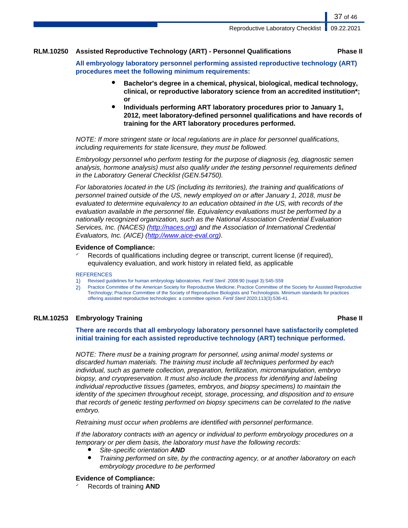### **RLM.10250 Assisted Reproductive Technology (ART) - Personnel Qualifications Phase II**

37 of 46

**All embryology laboratory personnel performing assisted reproductive technology (ART) procedures meet the following minimum requirements:**

- **Bachelor's degree in a chemical, physical, biological, medical technology, clinical, or reproductive laboratory science from an accredited institution\*; or**
- **Individuals performing ART laboratory procedures prior to January 1, 2012, meet laboratory-defined personnel qualifications and have records of training for the ART laboratory procedures performed.**

NOTE: If more stringent state or local regulations are in place for personnel qualifications, including requirements for state licensure, they must be followed.

Embryology personnel who perform testing for the purpose of diagnosis (eg, diagnostic semen analysis, hormone analysis) must also qualify under the testing personnel requirements defined in the Laboratory General Checklist (GEN.54750).

For laboratories located in the US (including its territories), the training and qualifications of personnel trained outside of the US, newly employed on or after January 1, 2018, must be evaluated to determine equivalency to an education obtained in the US, with records of the evaluation available in the personnel file. Equivalency evaluations must be performed by a nationally recognized organization, such as the National Association Credential Evaluation Services, Inc. (NACES) ([http://naces.org\)](http://naces.org) and the Association of International Credential Evaluators, Inc. (AICE) (<http://www.aice-eval.org>).

### **Evidence of Compliance:**

Records of qualifications including degree or transcript, current license (if required), equivalency evaluation, and work history in related field, as applicable

### **REFERENCES**

- 1) Revised guidelines for human embryology laboratories. Fertil Steril. 2008:90 (suppl 3):S45-S59
- 2) Practice Committee of the American Society for Reproductive Medicine; Practice Committee of the Society for Assisted Reproductive Technology; Practice Committee of the Society of Reproductive Biologists and Technologists. Minimum standards for practices offering assisted reproductive technologies: a committee opinion. Fertil Steril 2020;113(3):536-41.

### **RLM.10253 Embryology Training Phase II**

**There are records that all embryology laboratory personnel have satisfactorily completed initial training for each assisted reproductive technology (ART) technique performed.**

NOTE: There must be a training program for personnel, using animal model systems or discarded human materials. The training must include all techniques performed by each individual, such as gamete collection, preparation, fertilization, micromanipulation, embryo biopsy, and cryopreservation. It must also include the process for identifying and labeling individual reproductive tissues (gametes, embryos, and biopsy specimens) to maintain the identity of the specimen throughout receipt, storage, processing, and disposition and to ensure that records of genetic testing performed on biopsy specimens can be correlated to the native embryo.

Retraining must occur when problems are identified with personnel performance.

If the laboratory contracts with an agency or individual to perform embryology procedures on a temporary or per diem basis, the laboratory must have the following records:

- Site-specific orientation **AND**
- Training performed on site, by the contracting agency, or at another laboratory on each embryology procedure to be performed

### **Evidence of Compliance:**

✓ Records of training **AND**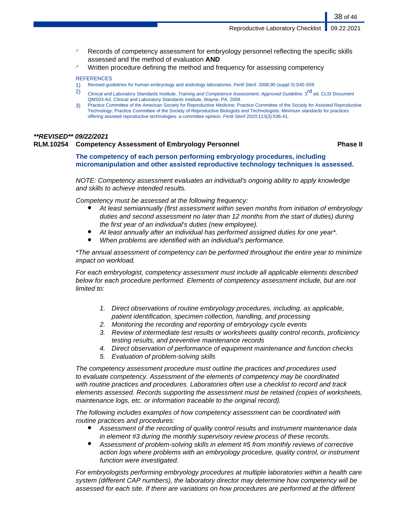Reproductive Laboratory Checklist | 09.22.2021

- Records of competency assessment for embryology personnel reflecting the specific skills assessed and the method of evaluation **AND**
- Written procedure defining the method and frequency for assessing competency

### **REFERENCES**

- 1) Revised guidelines for human embryology and andrology laboratories. Fertil Steril. 2008;90 (suppl 3):S45-S59
- 2) Clinical and Laboratory Standards Institute. Training and Competence Assessment; Approved Guideline. 3<sup>rd</sup> ed. CLSI Document QMS03-A3. Clinical and Laboratory Standards Institute, Wayne, PA, 2009.
- 3) Practice Committee of the American Society for Reproductive Medicine; Practice Committee of the Society for Assisted Reproductive Technology; Practice Committee of the Society of Reproductive Biologists and Technologists. Minimum standards for practices offering assisted reproductive technologies: a committee opinion. Fertil Steril 2020;113(3):536-41.

### **\*\*REVISED\*\* 09/22/2021**

### **RLM.10254 Competency Assessment of Embryology Personnel Phase II**

**The competency of each person performing embryology procedures, including micromanipulation and other assisted reproductive technology techniques is assessed.**

NOTE: Competency assessment evaluates an individual's ongoing ability to apply knowledge and skills to achieve intended results.

Competency must be assessed at the following frequency:

- At least semiannually (first assessment within seven months from initiation of embryology duties and second assessment no later than 12 months from the start of duties) during the first year of an individual's duties (new employee).
- At least annually after an individual has performed assigned duties for one year\*.
- When problems are identified with an individual's performance.

\*The annual assessment of competency can be performed throughout the entire year to minimize impact on workload.

For each embryologist, competency assessment must include all applicable elements described below for each procedure performed. Elements of competency assessment include, but are not limited to:

- 1. Direct observations of routine embryology procedures, including, as applicable, patient identification, specimen collection, handling, and processing
- 2. Monitoring the recording and reporting of embryology cycle events
- 3. Review of intermediate test results or worksheets quality control records, proficiency testing results, and preventive maintenance records
- 4. Direct observation of performance of equipment maintenance and function checks
- 5. Evaluation of problem-solving skills

The competency assessment procedure must outline the practices and procedures used to evaluate competency. Assessment of the elements of competency may be coordinated with routine practices and procedures. Laboratories often use a checklist to record and track elements assessed. Records supporting the assessment must be retained (copies of worksheets, maintenance logs, etc. or information traceable to the original record).

The following includes examples of how competency assessment can be coordinated with routine practices and procedures:

- Assessment of the recording of quality control results and instrument maintenance data in element #3 during the monthly supervisory review process of these records.
- Assessment of problem-solving skills in element #5 from monthly reviews of corrective action logs where problems with an embryology procedure, quality control, or instrument function were investigated.

For embryologists performing embryology procedures at multiple laboratories within a health care system (different CAP numbers), the laboratory director may determine how competency will be assessed for each site. If there are variations on how procedures are performed at the different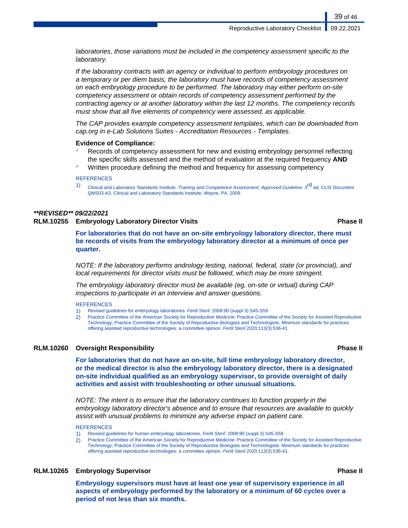laboratories, those variations must be included in the competency assessment specific to the laboratory.

If the laboratory contracts with an agency or individual to perform embryology procedures on a temporary or per diem basis, the laboratory must have records of competency assessment on each embryology procedure to be performed. The laboratory may either perform on-site competency assessment or obtain records of competency assessment performed by the contracting agency or at another laboratory within the last 12 months. The competency records must show that all five elements of competency were assessed, as applicable.

The CAP provides example competency assessment templates, which can be downloaded from cap.org in e-Lab Solutions Suites - Accreditation Resources - Templates.

### **Evidence of Compliance:**

- Records of competency assessment for new and existing embryology personnel reflecting the specific skills assessed and the method of evaluation at the required frequency **AND**
- Written procedure defining the method and frequency for assessing competency

### **REFERENCES**

1) Clinical and Laboratory Standards Institute. Training and Competence Assessment; Approved Guideline. 3<sup>rd</sup> ed. CLSI Document QMS03-A3. Clinical and Laboratory Standards Institute, Wayne, PA, 2009.

## **\*\*REVISED\*\* 09/22/2021**

### **RLM.10255 Embryology Laboratory Director Visits Phase II**

**For laboratories that do not have an on-site embryology laboratory director, there must be records of visits from the embryology laboratory director at a minimum of once per quarter.**

NOTE: If the laboratory performs andrology testing, national, federal, state (or provincial), and local requirements for director visits must be followed, which may be more stringent.

The embryology laboratory director must be available (eg, on-site or virtual) during CAP inspections to participate in an interview and answer questions.

### **REFERENCES**

- 1) Revised guidelines for embryology laboratories. Fertil Steril. 2008:90 (suppl 3):S45-S59
- 2) Practice Committee of the American Society for Reproductive Medicine; Practice Committee of the Society for Assisted Reproductive Technology; Practice Committee of the Society of Reproductive Biologists and Technologists. Minimum standards for practices offering assisted reproductive technologies: a committee opinion. Fertil Steril 2020;113(3):536-41.

### **RLM.10260 Oversight Responsibility Phase II**

**For laboratories that do not have an on-site, full time embryology laboratory director, or the medical director is also the embryology laboratory director, there is a designated on-site individual qualified as an embryology supervisor, to provide oversight of daily activities and assist with troubleshooting or other unusual situations.**

NOTE: The intent is to ensure that the laboratory continues to function properly in the embryology laboratory director's absence and to ensure that resources are available to quickly assist with unusual problems to minimize any adverse impact on patient care.

### REFERENCES

1) Revised guidelines for human embryology laboratories. Fertil Steril. 2008:90 (suppl 3):S45-S59

2) Practice Committee of the American Society for Reproductive Medicine; Practice Committee of the Society for Assisted Reproductive Technology; Practice Committee of the Society of Reproductive Biologists and Technologists. Minimum standards for practices offering assisted reproductive technologies: a committee opinion. Fertil Steril 2020;113(3):536-41.

### **RLM.10265 Embryology Supervisor Phase II**

**Embryology supervisors must have at least one year of supervisory experience in all aspects of embryology performed by the laboratory or a minimum of 60 cycles over a period of not less than six months.**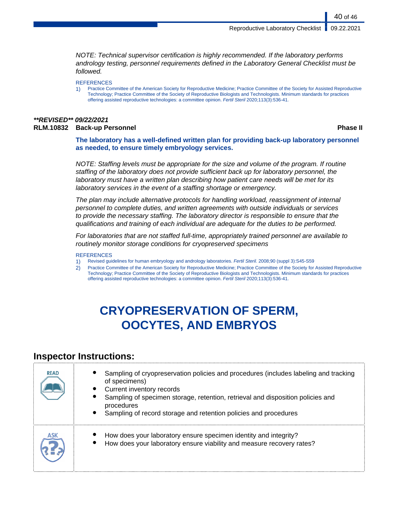NOTE: Technical supervisor certification is highly recommended. If the laboratory performs andrology testing, personnel requirements defined in the Laboratory General Checklist must be followed.

**REFERENCES** 

1) Practice Committee of the American Society for Reproductive Medicine; Practice Committee of the Society for Assisted Reproductive Technology; Practice Committee of the Society of Reproductive Biologists and Technologists. Minimum standards for practices offering assisted reproductive technologies: a committee opinion. Fertil Steril 2020;113(3):536-41.

### **\*\*REVISED\*\* 09/22/2021 RLM.10832 Back-up Personnel Phase II**

40 of 46

**The laboratory has a well-defined written plan for providing back-up laboratory personnel as needed, to ensure timely embryology services.**

NOTE: Staffing levels must be appropriate for the size and volume of the program. If routine staffing of the laboratory does not provide sufficient back up for laboratory personnel, the laboratory must have a written plan describing how patient care needs will be met for its laboratory services in the event of a staffing shortage or emergency.

The plan may include alternative protocols for handling workload, reassignment of internal personnel to complete duties, and written agreements with outside individuals or services to provide the necessary staffing. The laboratory director is responsible to ensure that the qualifications and training of each individual are adequate for the duties to be performed.

For laboratories that are not staffed full-time, appropriately trained personnel are available to routinely monitor storage conditions for cryopreserved specimens

### **REFERENCES**

1) Revised guidelines for human embryology and andrology laboratories. Fertil Steril. 2008;90 (suppl 3):S45-S59

2) Practice Committee of the American Society for Reproductive Medicine; Practice Committee of the Society for Assisted Reproductive Technology; Practice Committee of the Society of Reproductive Biologists and Technologists. Minimum standards for practices offering assisted reproductive technologies: a committee opinion. Fertil Steril 2020;113(3):536-41.

# **CRYOPRESERVATION OF SPERM, OOCYTES, AND EMBRYOS**

## **Inspector Instructions:**

| <b>READ</b> | Sampling of cryopreservation policies and procedures (includes labeling and tracking<br>of specimens)<br>Current inventory records<br>Sampling of specimen storage, retention, retrieval and disposition policies and<br>procedures<br>$\bullet$<br>Sampling of record storage and retention policies and procedures |
|-------------|----------------------------------------------------------------------------------------------------------------------------------------------------------------------------------------------------------------------------------------------------------------------------------------------------------------------|
| ASK         | How does your laboratory ensure specimen identity and integrity?<br>How does your laboratory ensure viability and measure recovery rates?                                                                                                                                                                            |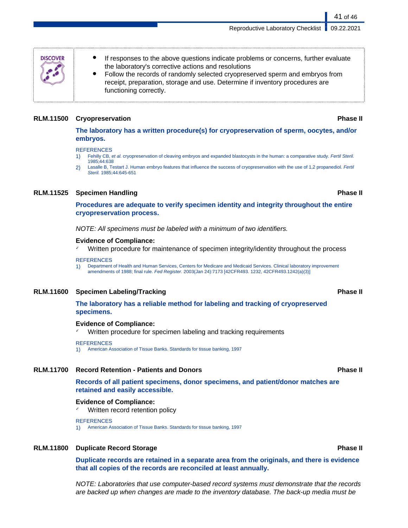Reproductive Laboratory Checklist | 09.22.2021

- If responses to the above questions indicate problems or concerns, further evaluate the laboratory's corrective actions and resolutions
- Follow the records of randomly selected cryopreserved sperm and embryos from receipt, preparation, storage and use. Determine if inventory procedures are functioning correctly.

### **RLM.11500 Cryopreservation Phase II**

**DISCOVER** 

**The laboratory has a written procedure(s) for cryopreservation of sperm, oocytes, and/or embryos.**

### **REFERENCES**

- 1) Fehilly CB, et al. cryopreservation of cleaving embryos and expanded blastocysts in the human: a comparative study. Fertil Steril. 1985;44:638
- 2) Lasalle B, Testart J. Human embryo features that influence the success of cryopreservation with the use of 1,2 propanediol. Fertil Steril. 1985;44:645-651

### **RLM.11525 Specimen Handling Phase II**

**Procedures are adequate to verify specimen identity and integrity throughout the entire cryopreservation process.**

NOTE: All specimens must be labeled with a minimum of two identifiers.

### **Evidence of Compliance:**

Written procedure for maintenance of specimen integrity/identity throughout the process

### **REFERENCES**

1) Department of Health and Human Services, Centers for Medicare and Medicaid Services. Clinical laboratory improvement amendments of 1988; final rule. Fed Register. 2003(Jan 24):7173 [42CFR493. 1232, 42CFR493.1242(a)(3)]

### **RLM.11600 Specimen Labeling/Tracking Phase II**

### **The laboratory has a reliable method for labeling and tracking of cryopreserved specimens.**

### **Evidence of Compliance:**

Written procedure for specimen labeling and tracking requirements

### **REFERENCES**

1) American Association of Tissue Banks. Standards for tissue banking, 1997

### **RLM.11700 Record Retention - Patients and Donors Phase II**

**Records of all patient specimens, donor specimens, and patient/donor matches are retained and easily accessible.**

### **Evidence of Compliance:**

Written record retention policy

**REFERENCES** 

1) American Association of Tissue Banks. Standards for tissue banking, 1997

### **RLM.11800 Duplicate Record Storage Phase II**

**Duplicate records are retained in a separate area from the originals, and there is evidence that all copies of the records are reconciled at least annually.**

NOTE: Laboratories that use computer-based record systems must demonstrate that the records are backed up when changes are made to the inventory database. The back-up media must be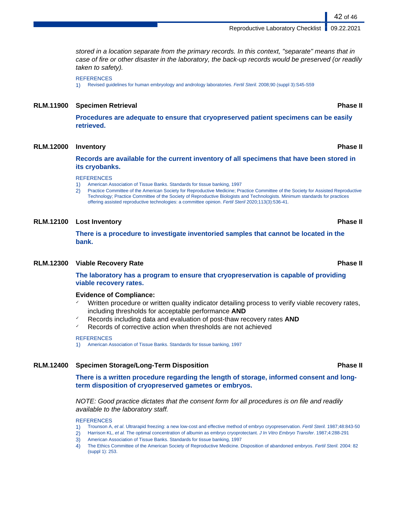Reproductive Laboratory Checklist | 09.22.2021

stored in a location separate from the primary records. In this context, "separate" means that in case of fire or other disaster in the laboratory, the back-up records would be preserved (or readily taken to safety).

**REFERENCES** 

1) Revised guidelines for human embryology and andrology laboratories. Fertil Steril. 2008;90 (suppl 3):S45-S59

### **RLM.11900 Specimen Retrieval Phase II**

**Procedures are adequate to ensure that cryopreserved patient specimens can be easily retrieved.**

### **RLM.12000 Inventory Phase II**

**Records are available for the current inventory of all specimens that have been stored in its cryobanks.**

### **REFERENCES**

- 1) American Association of Tissue Banks. Standards for tissue banking, 1997
- 2) Practice Committee of the American Society for Reproductive Medicine; Practice Committee of the Society for Assisted Reproductive Technology; Practice Committee of the Society of Reproductive Biologists and Technologists. Minimum standards for practices offering assisted reproductive technologies: a committee opinion. Fertil Steril 2020;113(3):536-41.

### **RLM.12100 Lost Inventory Phase II**

**There is a procedure to investigate inventoried samples that cannot be located in the bank.**

### **RLM.12300 Viable Recovery Rate Phase II**

### **The laboratory has a program to ensure that cryopreservation is capable of providing viable recovery rates.**

### **Evidence of Compliance:**

- Written procedure or written quality indicator detailing process to verify viable recovery rates, including thresholds for acceptable performance **AND**
- ✓ Records including data and evaluation of post-thaw recovery rates **AND**
- Records of corrective action when thresholds are not achieved

### **REFERENCES**

1) American Association of Tissue Banks. Standards for tissue banking, 1997

### **RLM.12400 Specimen Storage/Long-Term Disposition Phase II**

**There is a written procedure regarding the length of storage, informed consent and longterm disposition of cryopreserved gametes or embryos.**

NOTE: Good practice dictates that the consent form for all procedures is on file and readily available to the laboratory staff.

### **REFERENCES**

- 1) Trounson A, et al. Ultrarapid freezing: a new low-cost and effective method of embryo cryopreservation. Fertil Steril. 1987;48:843-50
- 2) Harrison KL, et al. The optimal concentration of albumin as embryo cryoprotectant. J In Vitro Embryo Transfer. 1987;4:288-291
- 3) American Association of Tissue Banks. Standards for tissue banking, 1997
- 4) The Ethics Committee of the American Society of Reproductive Medicine. Disposition of abandoned embryos. Fertil Steril. 2004: 82 (suppl 1): 253.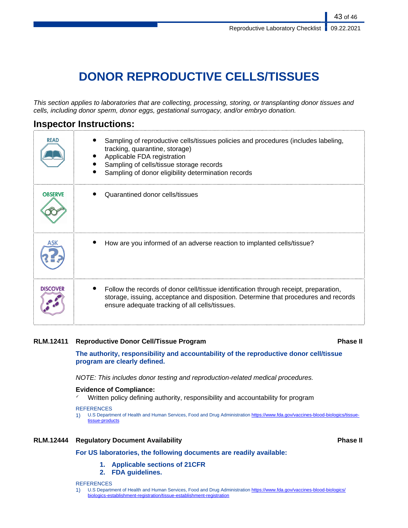# **DONOR REPRODUCTIVE CELLS/TISSUES**

This section applies to laboratories that are collecting, processing, storing, or transplanting donor tissues and cells, including donor sperm, donor eggs, gestational surrogacy, and/or embryo donation.

## **Inspector Instructions:**

| <b>READ</b>     | Sampling of reproductive cells/tissues policies and procedures (includes labeling,<br>tracking, quarantine, storage)<br>Applicable FDA registration<br>Sampling of cells/tissue storage records<br>Sampling of donor eligibility determination records |
|-----------------|--------------------------------------------------------------------------------------------------------------------------------------------------------------------------------------------------------------------------------------------------------|
| <b>OBSERVE</b>  | Quarantined donor cells/tissues                                                                                                                                                                                                                        |
|                 | How are you informed of an adverse reaction to implanted cells/tissue?                                                                                                                                                                                 |
| <b>DISCOVER</b> | Follow the records of donor cell/tissue identification through receipt, preparation,<br>storage, issuing, acceptance and disposition. Determine that procedures and records<br>ensure adequate tracking of all cells/tissues.                          |

### **RLM.12411 Reproductive Donor Cell/Tissue Program Phase II**

**The authority, responsibility and accountability of the reproductive donor cell/tissue program are clearly defined.**

NOTE: This includes donor testing and reproduction-related medical procedures.

### **Evidence of Compliance:**

✓ Written policy defining authority, responsibility and accountability for program

### **REFERENCES**

1) U.S Department of Health and Human Services, Food and Drug Administration [https://www.fda.gov/vaccines-blood-biologics/tissue](https://www.fda.gov/vaccines-blood-biologics/tissue-tissue-products)[tissue-products](https://www.fda.gov/vaccines-blood-biologics/tissue-tissue-products)

## **RLM.12444 Regulatory Document Availability Phase II**

### **For US laboratories, the following documents are readily available:**

- **1. Applicable sections of 21CFR**
- **2. FDA guidelines.**

**REFERENCES** 

1) U.S Department of Health and Human Services, Food and Drug Administration [https://www.fda.gov/vaccines-blood-biologics/](https://www.fda.gov/vaccines-blood-biologics/biologics-establishment-registration/tissue-establishment-registration) [biologics-establishment-registration/tissue-establishment-registration](https://www.fda.gov/vaccines-blood-biologics/biologics-establishment-registration/tissue-establishment-registration)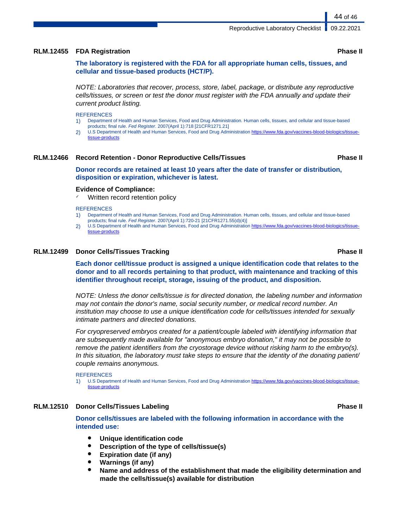### **RLM.12455 FDA Registration Phase II**

**The laboratory is registered with the FDA for all appropriate human cells, tissues, and cellular and tissue-based products (HCT/P).**

NOTE: Laboratories that recover, process, store, label, package, or distribute any reproductive cells/tissues, or screen or test the donor must register with the FDA annually and update their current product listing.

**REFERENCES** 

- 1) Department of Health and Human Services, Food and Drug Administration. Human cells, tissues, and cellular and tissue-based products; final rule. Fed Register. 2007(April 1):718 [21CFR1271.21]
- 2) U.S Department of Health and Human Services, Food and Drug Administration [https://www.fda.gov/vaccines-blood-biologics/tissue](https://www.fda.gov/vaccines-blood-biologics/tissue-tissue-products)[tissue-products](https://www.fda.gov/vaccines-blood-biologics/tissue-tissue-products)

### **RLM.12466 Record Retention - Donor Reproductive Cells/Tissues Phase II**

**Donor records are retained at least 10 years after the date of transfer or distribution, disposition or expiration, whichever is latest.**

### **Evidence of Compliance:**

Written record retention policy

**REFERENCES** 

- 1) Department of Health and Human Services, Food and Drug Administration. Human cells, tissues, and cellular and tissue-based products; final rule. Fed Register. 2007(April 1):720-21 [21CFR1271.55(d)(4)]
- 2) U.S Department of Health and Human Services, Food and Drug Administration [https://www.fda.gov/vaccines-blood-biologics/tissue](https://www.fda.gov/vaccines-blood-biologics/tissue-tissue-products)[tissue-products](https://www.fda.gov/vaccines-blood-biologics/tissue-tissue-products)

### **RLM.12499 Donor Cells/Tissues Tracking Phase II**

**Each donor cell/tissue product is assigned a unique identification code that relates to the donor and to all records pertaining to that product, with maintenance and tracking of this identifier throughout receipt, storage, issuing of the product, and disposition.**

NOTE: Unless the donor cells/tissue is for directed donation, the labeling number and information may not contain the donor's name, social security number, or medical record number. An institution may choose to use a unique identification code for cells/tissues intended for sexually intimate partners and directed donations.

For cryopreserved embryos created for a patient/couple labeled with identifying information that are subsequently made available for "anonymous embryo donation," it may not be possible to remove the patient identifiers from the cryostorage device without risking harm to the embryo(s). In this situation, the laboratory must take steps to ensure that the identity of the donating patient/ couple remains anonymous.

```
REFERENCES
```
1) U.S Department of Health and Human Services, Food and Drug Administration [https://www.fda.gov/vaccines-blood-biologics/tissue](https://www.fda.gov/vaccines-blood-biologics/tissue-tissue-products)[tissue-products](https://www.fda.gov/vaccines-blood-biologics/tissue-tissue-products)

### **RLM.12510 Donor Cells/Tissues Labeling Phase II**

**Donor cells/tissues are labeled with the following information in accordance with the intended use:**

- **Unique identification code**
- **Description of the type of cells/tissue(s)**
- **Expiration date (if any)**
- **Warnings (if any)**
- Name and address of the establishment that made the eligibility determination and **made the cells/tissue(s) available for distribution**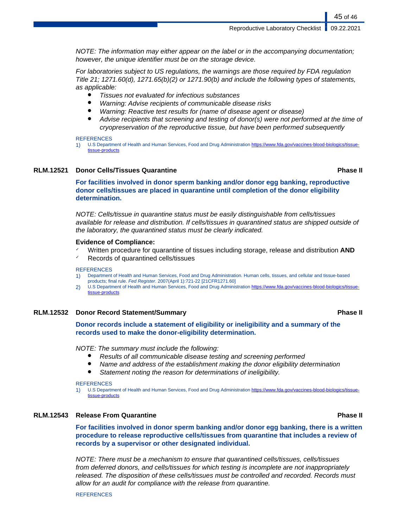NOTE: The information may either appear on the label or in the accompanying documentation; however, the unique identifier must be on the storage device.

For laboratories subject to US regulations, the warnings are those required by FDA regulation Title 21; 1271.60(d), 1271.65(b)(2) or 1271.90(b) and include the following types of statements, as applicable:

- Tissues not evaluated for infectious substances
- Warning: Advise recipients of communicable disease risks
- Warning: Reactive test results for (name of disease agent or disease)
- Advise recipients that screening and testing of donor(s) were not performed at the time of cryopreservation of the reproductive tissue, but have been performed subsequently

### **REFERENCES**

1) U.S Department of Health and Human Services, Food and Drug Administration [https://www.fda.gov/vaccines-blood-biologics/tissue](https://www.fda.gov/vaccines-blood-biologics/tissue-tissue-products)[tissue-products](https://www.fda.gov/vaccines-blood-biologics/tissue-tissue-products)

### **RLM.12521 Donor Cells/Tissues Quarantine Phase II**

**For facilities involved in donor sperm banking and/or donor egg banking, reproductive donor cells/tissues are placed in quarantine until completion of the donor eligibility determination.**

NOTE: Cells/tissue in quarantine status must be easily distinguishable from cells/tissues available for release and distribution. If cells/tissues in quarantined status are shipped outside of the laboratory, the quarantined status must be clearly indicated.

### **Evidence of Compliance:**

- ✓ Written procedure for quarantine of tissues including storage, release and distribution **AND**
- ✓ Records of quarantined cells/tissues

### **REFERENCES**

- 1) Department of Health and Human Services, Food and Drug Administration. Human cells, tissues, and cellular and tissue-based products; final rule. Fed Register. 2007(April 1):721-22 [21CFR1271.60]
- 2) U.S Department of Health and Human Services, Food and Drug Administration [https://www.fda.gov/vaccines-blood-biologics/tissue](https://www.fda.gov/vaccines-blood-biologics/tissue-tissue-products)[tissue-products](https://www.fda.gov/vaccines-blood-biologics/tissue-tissue-products)

### **RLM.12532 Donor Record Statement/Summary Phase II**

## **Donor records include a statement of eligibility or ineligibility and a summary of the records used to make the donor-eligibility determination.**

### NOTE: The summary must include the following:

- Results of all communicable disease testing and screening performed
- Name and address of the establishment making the donor eligibility determination
- Statement noting the reason for determinations of ineligibility.

**REFERENCES** 

1) U.S Department of Health and Human Services, Food and Drug Administration [https://www.fda.gov/vaccines-blood-biologics/tissue](https://www.fda.gov/vaccines-blood-biologics/tissue-tissue-products)[tissue-products](https://www.fda.gov/vaccines-blood-biologics/tissue-tissue-products)

### **RLM.12543 Release From Quarantine Phase II**

**For facilities involved in donor sperm banking and/or donor egg banking, there is a written procedure to release reproductive cells/tissues from quarantine that includes a review of records by a supervisor or other designated individual.**

NOTE: There must be a mechanism to ensure that quarantined cells/tissues, cells/tissues from deferred donors, and cells/tissues for which testing is incomplete are not inappropriately released. The disposition of these cells/tissues must be controlled and recorded. Records must allow for an audit for compliance with the release from quarantine.

**REFERENCES**